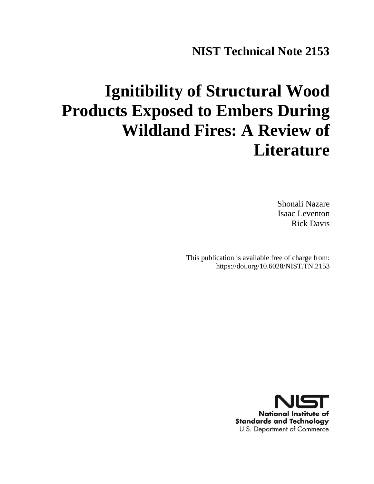# **NIST Technical Note 2153**

# **Ignitibility of Structural Wood Products Exposed to Embers During Wildland Fires: A Review of Literature**

Shonali Nazare Isaac Leventon Rick Davis

This publication is available free of charge from: https://doi.org/10.6028/NIST.TN.2153

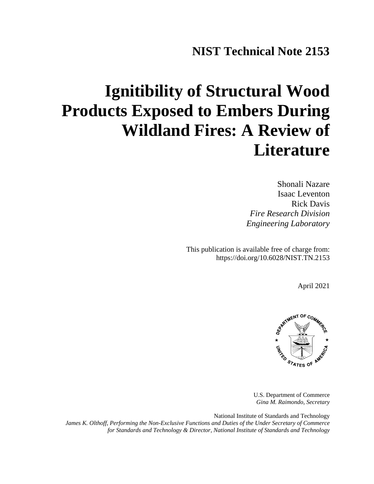# **NIST Technical Note 2153**

# **Ignitibility of Structural Wood Products Exposed to Embers During Wildland Fires: A Review of Literature**

Shonali Nazare Isaac Leventon Rick Davis *Fire Research Division Engineering Laboratory* 

This publication is available free of charge from: https://doi.org/10.6028/NIST.TN.2153

April 2021



U.S. Department of Commerce *Gina M. Raimondo, Secretary*

National Institute of Standards and Technology *James K. Olthoff, Performing the Non-Exclusive Functions and Duties of the Under Secretary of Commerce for Standards and Technology & Director, National Institute of Standards and Technology*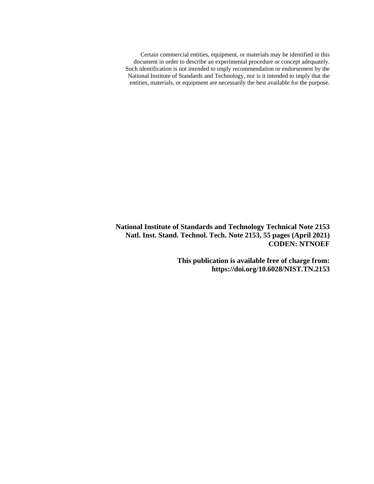Certain commercial entities, equipment, or materials may be identified in this document in order to describe an experimental procedure or concept adequately. Such identification is not intended to imply recommendation or endorsement by the National Institute of Standards and Technology, nor is it intended to imply that the entities, materials, or equipment are necessarily the best available for the purpose.

**National Institute of Standards and Technology Technical Note 2153 Natl. Inst. Stand. Technol. Tech. Note 2153, 55 pages (April 2021) CODEN: NTNOEF**

> **This publication is available free of charge from: https://doi.org/10.6028/NIST.TN.2153**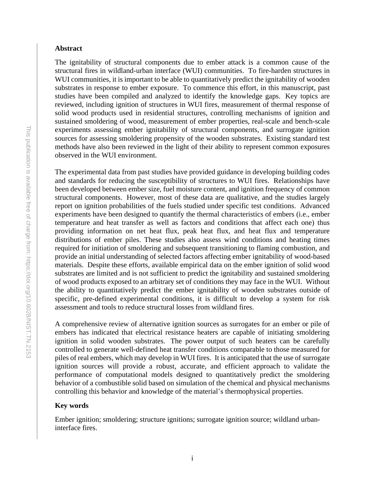#### **Abstract**

The ignitability of structural components due to ember attack is a common cause of the structural fires in wildland-urban interface (WUI) communities. To fire-harden structures in WUI communities, it is important to be able to quantitatively predict the ignitability of wooden substrates in response to ember exposure. To commence this effort, in this manuscript, past studies have been compiled and analyzed to identify the knowledge gaps. Key topics are reviewed, including ignition of structures in WUI fires, measurement of thermal response of solid wood products used in residential structures, controlling mechanisms of ignition and sustained smoldering of wood, measurement of ember properties, real-scale and bench-scale experiments assessing ember ignitability of structural components, and surrogate ignition sources for assessing smoldering propensity of the wooden substrates. Existing standard test methods have also been reviewed in the light of their ability to represent common exposures observed in the WUI environment.

The experimental data from past studies have provided guidance in developing building codes and standards for reducing the susceptibility of structures to WUI fires. Relationships have been developed between ember size, fuel moisture content, and ignition frequency of common structural components. However, most of these data are qualitative, and the studies largely report on ignition probabilities of the fuels studied under specific test conditions. Advanced experiments have been designed to quantify the thermal characteristics of embers (i.e., ember temperature and heat transfer as well as factors and conditions that affect each one) thus providing information on net heat flux, peak heat flux, and heat flux and temperature distributions of ember piles. These studies also assess wind conditions and heating times required for initiation of smoldering and subsequent transitioning to flaming combustion, and provide an initial understanding of selected factors affecting ember ignitability of wood-based materials. Despite these efforts, available empirical data on the ember ignition of solid wood substrates are limited and is not sufficient to predict the ignitability and sustained smoldering of wood products exposed to an arbitrary set of conditions they may face in the WUI. Without the ability to quantitatively predict the ember ignitability of wooden substrates outside of specific, pre-defined experimental conditions, it is difficult to develop a system for risk assessment and tools to reduce structural losses from wildland fires.

A comprehensive review of alternative ignition sources as surrogates for an ember or pile of embers has indicated that electrical resistance heaters are capable of initiating smoldering ignition in solid wooden substrates. The power output of such heaters can be carefully controlled to generate well-defined heat transfer conditions comparable to those measured for piles of real embers, which may develop in WUI fires. It is anticipated that the use of surrogate ignition sources will provide a robust, accurate, and efficient approach to validate the performance of computational models designed to quantitatively predict the smoldering behavior of a combustible solid based on simulation of the chemical and physical mechanisms controlling this behavior and knowledge of the material's thermophysical properties.

# **Key words**

Ember ignition; smoldering; structure ignitions; surrogate ignition source; wildland urbaninterface fires.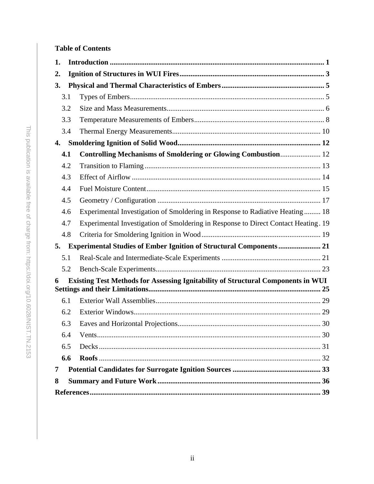# **Table of Contents**

| 1. |     |                                                                                    |  |  |  |  |  |  |
|----|-----|------------------------------------------------------------------------------------|--|--|--|--|--|--|
| 2. |     |                                                                                    |  |  |  |  |  |  |
| 3. |     |                                                                                    |  |  |  |  |  |  |
|    | 3.1 |                                                                                    |  |  |  |  |  |  |
|    | 3.2 |                                                                                    |  |  |  |  |  |  |
|    | 3.3 |                                                                                    |  |  |  |  |  |  |
|    | 3.4 |                                                                                    |  |  |  |  |  |  |
| 4. |     |                                                                                    |  |  |  |  |  |  |
|    | 4.1 | Controlling Mechanisms of Smoldering or Glowing Combustion 12                      |  |  |  |  |  |  |
|    | 4.2 |                                                                                    |  |  |  |  |  |  |
|    | 4.3 |                                                                                    |  |  |  |  |  |  |
|    | 4.4 |                                                                                    |  |  |  |  |  |  |
|    | 4.5 |                                                                                    |  |  |  |  |  |  |
|    | 4.6 | Experimental Investigation of Smoldering in Response to Radiative Heating  18      |  |  |  |  |  |  |
|    | 4.7 | Experimental Investigation of Smoldering in Response to Direct Contact Heating. 19 |  |  |  |  |  |  |
|    | 4.8 |                                                                                    |  |  |  |  |  |  |
| 5. |     | <b>Experimental Studies of Ember Ignition of Structural Components  21</b>         |  |  |  |  |  |  |
|    | 5.1 |                                                                                    |  |  |  |  |  |  |
|    | 5.2 |                                                                                    |  |  |  |  |  |  |
| 6  |     | Existing Test Methods for Assessing Ignitability of Structural Components in WUI   |  |  |  |  |  |  |
|    |     |                                                                                    |  |  |  |  |  |  |
|    | 6.1 |                                                                                    |  |  |  |  |  |  |
|    | 6.2 |                                                                                    |  |  |  |  |  |  |
|    | 6.3 |                                                                                    |  |  |  |  |  |  |
|    | 6.4 |                                                                                    |  |  |  |  |  |  |
|    | 6.5 |                                                                                    |  |  |  |  |  |  |
|    | 6.6 |                                                                                    |  |  |  |  |  |  |
| 7  |     |                                                                                    |  |  |  |  |  |  |
| 8  |     |                                                                                    |  |  |  |  |  |  |
|    |     |                                                                                    |  |  |  |  |  |  |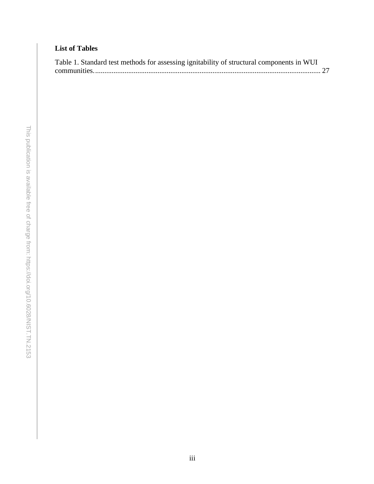# **List of Tables**

| Table 1. Standard test methods for assessing ignitability of structural components in WUI |  |
|-------------------------------------------------------------------------------------------|--|
|                                                                                           |  |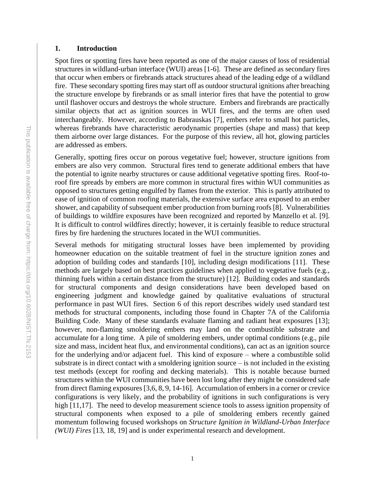## <span id="page-6-0"></span>**1. Introduction**

Spot fires or spotting fires have been reported as one of the major causes of loss of residential structures in wildland-urban interface (WUI) areas [1-6]. These are defined as secondary fires that occur when embers or firebrands attack structures ahead of the leading edge of a wildland fire. These secondary spotting fires may start off as outdoor structural ignitions after breaching the structure envelope by firebrands or as small interior fires that have the potential to grow until flashover occurs and destroys the whole structure. Embers and firebrands are practically similar objects that act as ignition sources in WUI fires, and the terms are often used interchangeably. However, according to Babrauskas [7], embers refer to small hot particles, whereas firebrands have characteristic aerodynamic properties (shape and mass) that keep them airborne over large distances. For the purpose of this review, all hot, glowing particles are addressed as embers.

Generally, spotting fires occur on porous vegetative fuel; however, structure ignitions from embers are also very common. Structural fires tend to generate additional embers that have the potential to ignite nearby structures or cause additional vegetative spotting fires. Roof-toroof fire spreads by embers are more common in structural fires within WUI communities as opposed to structures getting engulfed by flames from the exterior. This is partly attributed to ease of ignition of common roofing materials, the extensive surface area exposed to an ember shower, and capability of subsequent ember production from burning roofs [8]. Vulnerabilities of buildings to wildfire exposures have been recognized and reported by Manzello et al. [9]. It is difficult to control wildfires directly; however, it is certainly feasible to reduce structural fires by fire hardening the structures located in the WUI communities.

Several methods for mitigating structural losses have been implemented by providing homeowner education on the suitable treatment of fuel in the structure ignition zones and adoption of building codes and standards [10], including design modifications [11]. These methods are largely based on best practices guidelines when applied to vegetative fuels (e.g., thinning fuels within a certain distance from the structure) [12]. Building codes and standards for structural components and design considerations have been developed based on engineering judgment and knowledge gained by qualitative evaluations of structural performance in past WUI fires. Section 6 of this report describes widely used standard test methods for structural components, including those found in Chapter 7A of the California Building Code. Many of these standards evaluate flaming and radiant heat exposures [13]; however, non-flaming smoldering embers may land on the combustible substrate and accumulate for a long time. A pile of smoldering embers, under optimal conditions (e.g., pile size and mass, incident heat flux, and environmental conditions), can act as an ignition source for the underlying and/or adjacent fuel. This kind of exposure – where a combustible solid substrate is in direct contact with a smoldering ignition source – is not included in the existing test methods (except for roofing and decking materials). This is notable because burned structures within the WUI communities have been lost long after they might be considered safe from direct flaming exposures [3,6, 8, 9, 14-16]. Accumulation of embers in a corner or crevice configurations is very likely, and the probability of ignitions in such configurations is very high [11,17]. The need to develop measurement science tools to assess ignition propensity of structural components when exposed to a pile of smoldering embers recently gained momentum following focused workshops on *Structure Ignition in Wildland*-*Urban Interface (WUI) Fires* [13, 18, 19] and is under experimental research and development.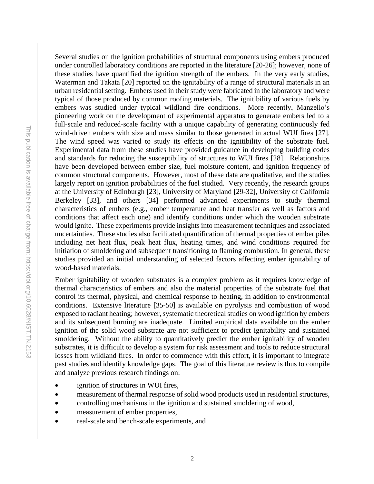This publication is available free of charge from: https://doi.org/10.6028/NIST.TN.2153 This publication is available free of charge from: https://doi.org/10.6028/NIST.TN.2153

Several studies on the ignition probabilities of structural components using embers produced under controlled laboratory conditions are reported in the literature [20-26]; however, none of these studies have quantified the ignition strength of the embers. In the very early studies, Waterman and Takata [20] reported on the ignitability of a range of structural materials in an urban residential setting. Embers used in their study were fabricated in the laboratory and were typical of those produced by common roofing materials. The ignitibility of various fuels by embers was studied under typical wildland fire conditions. More recently, Manzello's pioneering work on the development of experimental apparatus to generate embers led to a full-scale and reduced-scale facility with a unique capability of generating continuously fed wind-driven embers with size and mass similar to those generated in actual WUI fires [27]. The wind speed was varied to study its effects on the ignitibility of the substrate fuel. Experimental data from these studies have provided guidance in developing building codes and standards for reducing the susceptibility of structures to WUI fires [28]. Relationships have been developed between ember size, fuel moisture content, and ignition frequency of common structural components. However, most of these data are qualitative, and the studies largely report on ignition probabilities of the fuel studied. Very recently, the research groups at the University of Edinburgh [23], University of Maryland [29-32], University of California Berkeley [33], and others [34] performed advanced experiments to study thermal characteristics of embers (e.g., ember temperature and heat transfer as well as factors and conditions that affect each one) and identify conditions under which the wooden substrate would ignite. These experiments provide insights into measurement techniques and associated uncertainties. These studies also facilitated quantification of thermal properties of ember piles including net heat flux, peak heat flux, heating times, and wind conditions required for initiation of smoldering and subsequent transitioning to flaming combustion. In general, these studies provided an initial understanding of selected factors affecting ember ignitability of wood-based materials.

Ember ignitability of wooden substrates is a complex problem as it requires knowledge of thermal characteristics of embers and also the material properties of the substrate fuel that control its thermal, physical, and chemical response to heating, in addition to environmental conditions. Extensive literature [35-50] is available on pyrolysis and combustion of wood exposed to radiant heating; however, systematic theoretical studies on wood ignition by embers and its subsequent burning are inadequate. Limited empirical data available on the ember ignition of the solid wood substrate are not sufficient to predict ignitability and sustained smoldering. Without the ability to quantitatively predict the ember ignitability of wooden substrates, it is difficult to develop a system for risk assessment and tools to reduce structural losses from wildland fires. In order to commence with this effort, it is important to integrate past studies and identify knowledge gaps. The goal of this literature review is thus to compile and analyze previous research findings on:

- ignition of structures in WUI fires,
- measurement of thermal response of solid wood products used in residential structures,
- controlling mechanisms in the ignition and sustained smoldering of wood,
- measurement of ember properties,
- real-scale and bench-scale experiments, and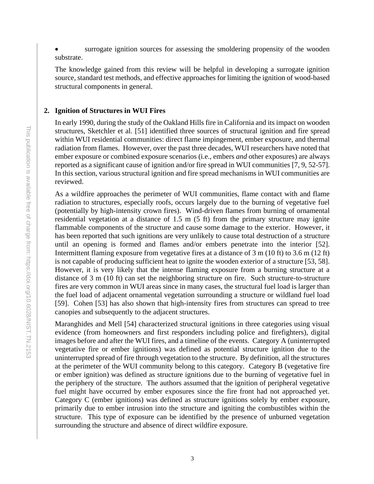surrogate ignition sources for assessing the smoldering propensity of the wooden substrate.

The knowledge gained from this review will be helpful in developing a surrogate ignition source, standard test methods, and effective approaches for limiting the ignition of wood-based structural components in general.

# <span id="page-8-0"></span>**2. Ignition of Structures in WUI Fires**

In early 1990, during the study of the Oakland Hills fire in California and its impact on wooden structures, Sketchler et al. [51] identified three sources of structural ignition and fire spread within WUI residential communities: direct flame impingement, ember exposure, and thermal radiation from flames. However, over the past three decades, WUI researchers have noted that ember exposure or combined exposure scenarios (i.e., embers *and* other exposures) are always reported as a significant cause of ignition and/or fire spread in WUI communities [7, 9, 52-57]. In this section, various structural ignition and fire spread mechanisms in WUI communities are reviewed.

As a wildfire approaches the perimeter of WUI communities, flame contact with and flame radiation to structures, especially roofs, occurs largely due to the burning of vegetative fuel (potentially by high-intensity crown fires). Wind-driven flames from burning of ornamental residential vegetation at a distance of 1.5 m (5 ft) from the primary structure may ignite flammable components of the structure and cause some damage to the exterior. However, it has been reported that such ignitions are very unlikely to cause total destruction of a structure until an opening is formed and flames and/or embers penetrate into the interior [52]. Intermittent flaming exposure from vegetative fires at a distance of 3 m (10 ft) to 3.6 m (12 ft) is not capable of producing sufficient heat to ignite the wooden exterior of a structure [53, 58]. However, it is very likely that the intense flaming exposure from a burning structure at a distance of 3 m (10 ft) can set the neighboring structure on fire. Such structure-to-structure fires are very common in WUI areas since in many cases, the structural fuel load is larger than the fuel load of adjacent ornamental vegetation surrounding a structure or wildland fuel load [59]. Cohen [53] has also shown that high-intensity fires from structures can spread to tree canopies and subsequently to the adjacent structures.

Maranghides and Mell [54] characterized structural ignitions in three categories using visual evidence (from homeowners and first responders including police and firefighters), digital images before and after the WUI fires, and a timeline of the events. Category A (uninterrupted vegetative fire or ember ignitions) was defined as potential structure ignition due to the uninterrupted spread of fire through vegetation to the structure. By definition, all the structures at the perimeter of the WUI community belong to this category. Category B (vegetative fire or ember ignition) was defined as structure ignitions due to the burning of vegetative fuel in the periphery of the structure. The authors assumed that the ignition of peripheral vegetative fuel might have occurred by ember exposures since the fire front had not approached yet. Category C (ember ignitions) was defined as structure ignitions solely by ember exposure, primarily due to ember intrusion into the structure and igniting the combustibles within the structure. This type of exposure can be identified by the presence of unburned vegetation surrounding the structure and absence of direct wildfire exposure.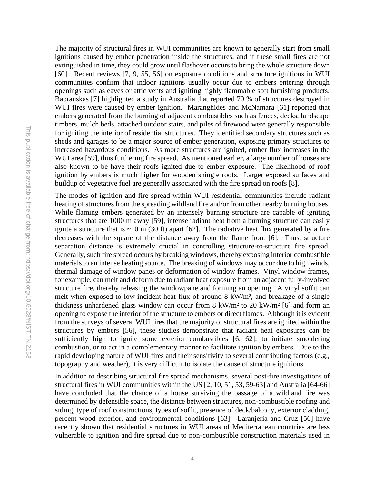The majority of structural fires in WUI communities are known to generally start from small ignitions caused by ember penetration inside the structures, and if these small fires are not extinguished in time, they could grow until flashover occurs to bring the whole structure down [60]. Recent reviews [7, 9, 55, 56] on exposure conditions and structure ignitions in WUI communities confirm that indoor ignitions usually occur due to embers entering through openings such as eaves or attic vents and igniting highly flammable soft furnishing products. Babrauskas [7] highlighted a study in Australia that reported 70 % of structures destroyed in WUI fires were caused by ember ignition. Maranghides and McNamara [61] reported that embers generated from the burning of adjacent combustibles such as fences, decks, landscape timbers, mulch beds, attached outdoor stairs, and piles of firewood were generally responsible for igniting the interior of residential structures. They identified secondary structures such as sheds and garages to be a major source of ember generation, exposing primary structures to increased hazardous conditions. As more structures are ignited, ember flux increases in the WUI area [59], thus furthering fire spread. As mentioned earlier, a large number of houses are also known to be have their roofs ignited due to ember exposure. The likelihood of roof ignition by embers is much higher for wooden shingle roofs. Larger exposed surfaces and buildup of vegetative fuel are generally associated with the fire spread on roofs [8].

The modes of ignition and fire spread within WUI residential communities include radiant heating of structures from the spreading wildland fire and/or from other nearby burning houses. While flaming embers generated by an intensely burning structure are capable of igniting structures that are 1000 m away [59], intense radiant heat from a burning structure can easily ignite a structure that is  $\sim$ 10 m (30 ft) apart [62]. The radiative heat flux generated by a fire decreases with the square of the distance away from the flame front [6]. Thus, structure separation distance is extremely crucial in controlling structure-to-structure fire spread. Generally, such fire spread occurs by breaking windows, thereby exposing interior combustible materials to an intense heating source. The breaking of windows may occur due to high winds, thermal damage of window panes or deformation of window frames. Vinyl window frames, for example, can melt and deform due to radiant heat exposure from an adjacent fully-involved structure fire, thereby releasing the windowpane and forming an opening. A vinyl soffit can melt when exposed to low incident heat flux of around 8 kW/m², and breakage of a single thickness unhardened glass window can occur from 8 kW/m² to 20 kW/m² [6] and form an opening to expose the interior of the structure to embers or direct flames. Although it is evident from the surveys of several WUI fires that the majority of structural fires are ignited within the structures by embers [56], these studies demonstrate that radiant heat exposures can be sufficiently high to ignite some exterior combustibles [6, 62], to initiate smoldering combustion, or to act in a complementary manner to facilitate ignition by embers. Due to the rapid developing nature of WUI fires and their sensitivity to several contributing factors (e.g., topography and weather), it is very difficult to isolate the cause of structure ignitions.

In addition to describing structural fire spread mechanisms, several post-fire investigations of structural fires in WUI communities within the US [2, 10, 51, 53, 59-63] and Australia [64-66] have concluded that the chance of a house surviving the passage of a wildland fire was determined by defensible space, the distance between structures, non-combustible roofing and siding, type of roof constructions, types of soffit, presence of deck/balcony, exterior cladding, percent wood exterior, and environmental conditions [63]. Laranjeria and Cruz [56] have recently shown that residential structures in WUI areas of Mediterranean countries are less vulnerable to ignition and fire spread due to non-combustible construction materials used in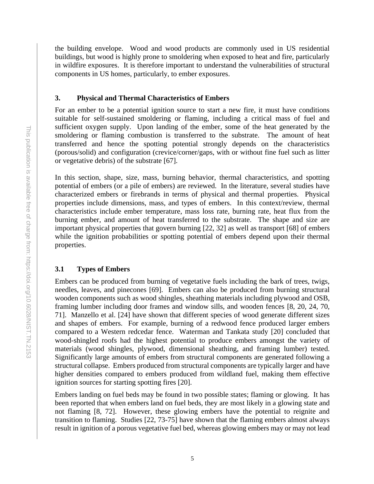the building envelope. Wood and wood products are commonly used in US residential buildings, but wood is highly prone to smoldering when exposed to heat and fire, particularly in wildfire exposures. It is therefore important to understand the vulnerabilities of structural components in US homes, particularly, to ember exposures.

# <span id="page-10-0"></span>**3. Physical and Thermal Characteristics of Embers**

For an ember to be a potential ignition source to start a new fire, it must have conditions suitable for self-sustained smoldering or flaming, including a critical mass of fuel and sufficient oxygen supply. Upon landing of the ember, some of the heat generated by the smoldering or flaming combustion is transferred to the substrate. The amount of heat transferred and hence the spotting potential strongly depends on the characteristics (porous/solid) and configuration (crevice/corner/gaps, with or without fine fuel such as litter or vegetative debris) of the substrate [67].

In this section, shape, size, mass, burning behavior, thermal characteristics, and spotting potential of embers (or a pile of embers) are reviewed. In the literature, several studies have characterized embers or firebrands in terms of physical and thermal properties. Physical properties include dimensions, mass, and types of embers. In this context/review, thermal characteristics include ember temperature, mass loss rate, burning rate, heat flux from the burning ember, and amount of heat transferred to the substrate. The shape and size are important physical properties that govern burning [22, 32] as well as transport [68] of embers while the ignition probabilities or spotting potential of embers depend upon their thermal properties.

# <span id="page-10-1"></span>**3.1 Types of Embers**

Embers can be produced from burning of vegetative fuels including the bark of trees, twigs, needles, leaves, and pinecones [69]. Embers can also be produced from burning structural wooden components such as wood shingles, sheathing materials including plywood and OSB, framing lumber including door frames and window sills, and wooden fences [8, 20, 24, 70, 71]. Manzello et al. [24] have shown that different species of wood generate different sizes and shapes of embers. For example, burning of a redwood fence produced larger embers compared to a Western redcedar fence. Waterman and Tankata study [20] concluded that wood-shingled roofs had the highest potential to produce embers amongst the variety of materials (wood shingles, plywood, dimensional sheathing, and framing lumber) tested. Significantly large amounts of embers from structural components are generated following a structural collapse. Embers produced from structural components are typically larger and have higher densities compared to embers produced from wildland fuel, making them effective ignition sources for starting spotting fires [20].

Embers landing on fuel beds may be found in two possible states; flaming or glowing. It has been reported that when embers land on fuel beds, they are most likely in a glowing state and not flaming [8, 72]. However, these glowing embers have the potential to reignite and transition to flaming. Studies  $\left[22, 73-75\right]$  have shown that the flaming embers almost always result in ignition of a porous vegetative fuel bed, whereas glowing embers may or may not lead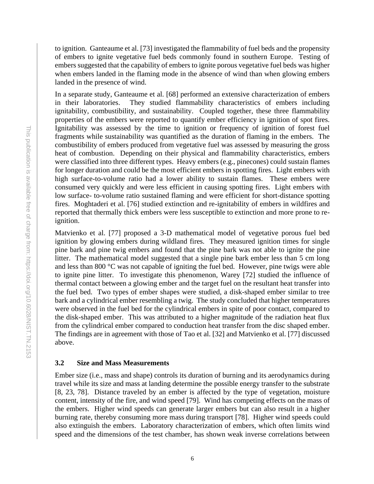to ignition. Ganteaume et al. [73] investigated the flammability of fuel beds and the propensity of embers to ignite vegetative fuel beds commonly found in southern Europe. Testing of embers suggested that the capability of embers to ignite porous vegetative fuel beds was higher when embers landed in the flaming mode in the absence of wind than when glowing embers landed in the presence of wind.

In a separate study, Ganteaume et al. [68] performed an extensive characterization of embers in their laboratories. They studied flammability characteristics of embers including ignitability, combustibility, and sustainability. Coupled together, these three flammability properties of the embers were reported to quantify ember efficiency in ignition of spot fires. Ignitability was assessed by the time to ignition or frequency of ignition of forest fuel fragments while sustainability was quantified as the duration of flaming in the embers. The combustibility of embers produced from vegetative fuel was assessed by measuring the gross heat of combustion. Depending on their physical and flammability characteristics, embers were classified into three different types. Heavy embers (e.g., pinecones) could sustain flames for longer duration and could be the most efficient embers in spotting fires. Light embers with high surface-to-volume ratio had a lower ability to sustain flames. These embers were consumed very quickly and were less efficient in causing spotting fires. Light embers with low surface- to-volume ratio sustained flaming and were efficient for short-distance spotting fires. Moghtaderi et al. [76] studied extinction and re-ignitability of embers in wildfires and reported that thermally thick embers were less susceptible to extinction and more prone to reignition.

Matvienko et al. [77] proposed a 3-D mathematical model of vegetative porous fuel bed ignition by glowing embers during wildland fires. They measured ignition times for single pine bark and pine twig embers and found that the pine bark was not able to ignite the pine litter. The mathematical model suggested that a single pine bark ember less than 5 cm long and less than 800 °C was not capable of igniting the fuel bed. However, pine twigs were able to ignite pine litter. To investigate this phenomenon, Warey [72] studied the influence of thermal contact between a glowing ember and the target fuel on the resultant heat transfer into the fuel bed. Two types of ember shapes were studied, a disk-shaped ember similar to tree bark and a cylindrical ember resembling a twig. The study concluded that higher temperatures were observed in the fuel bed for the cylindrical embers in spite of poor contact, compared to the disk-shaped ember. This was attributed to a higher magnitude of the radiation heat flux from the cylindrical ember compared to conduction heat transfer from the disc shaped ember. The findings are in agreement with those of Tao et al. [32] and Matvienko et al. [77] discussed above.

### <span id="page-11-0"></span>**3.2 Size and Mass Measurements**

Ember size (i.e., mass and shape) controls its duration of burning and its aerodynamics during travel while its size and mass at landing determine the possible energy transfer to the substrate [8, 23, 78]. Distance traveled by an ember is affected by the type of vegetation, moisture content, intensity of the fire, and wind speed [79]. Wind has competing effects on the mass of the embers. Higher wind speeds can generate larger embers but can also result in a higher burning rate, thereby consuming more mass during transport [78]. Higher wind speeds could also extinguish the embers. Laboratory characterization of embers, which often limits wind speed and the dimensions of the test chamber, has shown weak inverse correlations between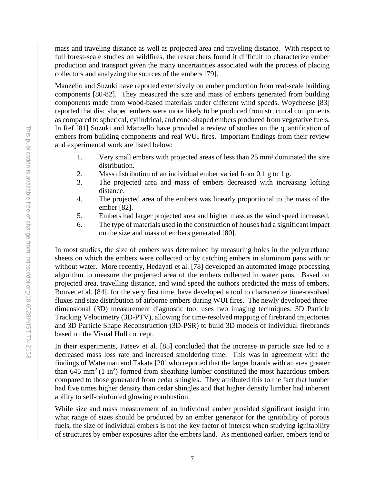mass and traveling distance as well as projected area and traveling distance. With respect to full forest-scale studies on wildfires, the researchers found it difficult to characterize ember production and transport given the many uncertainties associated with the process of placing collectors and analyzing the sources of the embers [79].

Manzello and Suzuki have reported extensively on ember production from real-scale building components [80-82]. They measured the size and mass of embers generated from building components made from wood-based materials under different wind speeds. Woycheese [83] reported that disc shaped embers were more likely to be produced from structural components as compared to spherical, cylindrical, and cone-shaped embers produced from vegetative fuels. In Ref [81] Suzuki and Manzello have provided a review of studies on the quantification of embers from building components and real WUI fires. Important findings from their review and experimental work are listed below:

- 1. Very small embers with projected areas of less than 25 mm² dominated the size distribution.
- 2. Mass distribution of an individual ember varied from 0.1 g to 1 g.
- 3. The projected area and mass of embers decreased with increasing lofting distance.
- 4. The projected area of the embers was linearly proportional to the mass of the ember [82].
- 5. Embers had larger projected area and higher mass as the wind speed increased.
- 6. The type of materials used in the construction of houses had a significant impact on the size and mass of embers generated [80].

In most studies, the size of embers was determined by measuring holes in the polyurethane sheets on which the embers were collected or by catching embers in aluminum pans with or without water. More recently, Hedayati et al. [78] developed an automated image processing algorithm to measure the projected area of the embers collected in water pans. Based on projected area, travelling distance, and wind speed the authors predicted the mass of embers. Bouvet et al. [84], for the very first time, have developed a tool to characterize time-resolved fluxes and size distribution of airborne embers during WUI fires. The newly developed threedimensional (3D) measurement diagnostic tool uses two imaging techniques: 3D Particle Tracking Velocimetry (3D-PTV), allowing for time-resolved mapping of firebrand trajectories and 3D Particle Shape Reconstruction (3D-PSR) to build 3D models of individual firebrands based on the Visual Hull concept.

In their experiments, Fateev et al. [85] concluded that the increase in particle size led to a decreased mass loss rate and increased smoldering time. This was in agreement with the findings of Waterman and Takata [20] who reported that the larger brands with an area greater than 645 mm<sup>2</sup> (1 in<sup>2</sup>) formed from sheathing lumber constituted the most hazardous embers compared to those generated from cedar shingles. They attributed this to the fact that lumber had five times higher density than cedar shingles and that higher density lumber had inherent ability to self-reinforced glowing combustion.

While size and mass measurement of an individual ember provided significant insight into what range of sizes should be produced by an ember generator for the ignitibility of porous fuels, the size of individual embers is not the key factor of interest when studying ignitability of structures by ember exposures after the embers land. As mentioned earlier, embers tend to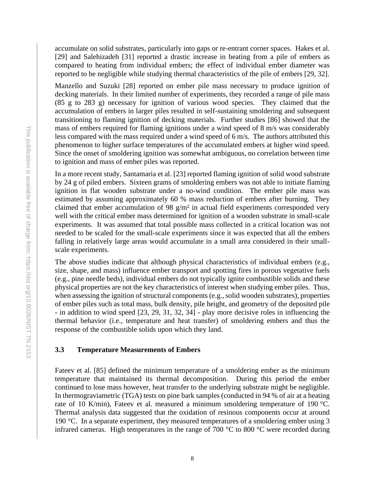accumulate on solid substrates, particularly into gaps or re-entrant corner spaces. Hakes et al. [29] and Salehizadeh [31] reported a drastic increase in heating from a pile of embers as compared to heating from individual embers; the effect of individual ember diameter was reported to be negligible while studying thermal characteristics of the pile of embers [29, 32].

Manzello and Suzuki [28] reported on ember pile mass necessary to produce ignition of decking materials. In their limited number of experiments, they recorded a range of pile mass (85 g to 283 g) necessary for ignition of various wood species. They claimed that the accumulation of embers in larger piles resulted in self-sustaining smoldering and subsequent transitioning to flaming ignition of decking materials. Further studies [86] showed that the mass of embers required for flaming ignitions under a wind speed of 8 m/s was considerably less compared with the mass required under a wind speed of 6 m/s. The authors attributed this phenomenon to higher surface temperatures of the accumulated embers at higher wind speed. Since the onset of smoldering ignition was somewhat ambiguous, no correlation between time to ignition and mass of ember piles was reported.

In a more recent study, Santamaria et al. [23] reported flaming ignition of solid wood substrate by 24 g of piled embers. Sixteen grams of smoldering embers was not able to initiate flaming ignition in flat wooden substrate under a no-wind condition. The ember pile mass was estimated by assuming approximately 60 % mass reduction of embers after burning. They claimed that ember accumulation of 98 g/m<sup>2</sup> in actual field experiments corresponded very well with the critical ember mass determined for ignition of a wooden substrate in small-scale experiments. It was assumed that total possible mass collected in a critical location was not needed to be scaled for the small-scale experiments since it was expected that all the embers falling in relatively large areas would accumulate in a small area considered in their smallscale experiments.

The above studies indicate that although physical characteristics of individual embers (e.g., size, shape, and mass) influence ember transport and spotting fires in porous vegetative fuels (e.g., pine needle beds), individual embers do not typically ignite combustible solids and these physical properties are not the key characteristics of interest when studying ember piles. Thus, when assessing the ignition of structural components (e.g., solid wooden substrates), properties of ember piles such as total mass, bulk density, pile height, and geometry of the deposited pile - in addition to wind speed [23, 29, 31, 32, 34] - play more decisive roles in influencing the thermal behavior (i.e., temperature and heat transfer) of smoldering embers and thus the response of the combustible solids upon which they land.

# <span id="page-13-0"></span>**3.3 Temperature Measurements of Embers**

Fateev et al. [85] defined the minimum temperature of a smoldering ember as the minimum temperature that maintained its thermal decomposition. During this period the ember continued to lose mass however, heat transfer to the underlying substrate might be negligible. In thermograviametric (TGA) tests on pine bark samples (conducted in 94 % of air at a heating rate of 10 K/min), Fateev et al. measured a minimum smoldering temperature of 190 °C. Thermal analysis data suggested that the oxidation of resinous components occur at around 190 °C. In a separate experiment, they measured temperatures of a smoldering ember using 3 infrared cameras. High temperatures in the range of 700 °C to 800 °C were recorded during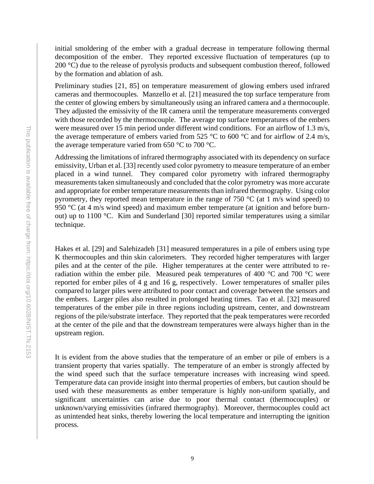initial smoldering of the ember with a gradual decrease in temperature following thermal decomposition of the ember. They reported excessive fluctuation of temperatures (up to 200  $\degree$ C) due to the release of pyrolysis products and subsequent combustion thereof, followed by the formation and ablation of ash.

Preliminary studies [21, 85] on temperature measurement of glowing embers used infrared cameras and thermocouples. Manzello et al. [21] measured the top surface temperature from the center of glowing embers by simultaneously using an infrared camera and a thermocouple. They adjusted the emissivity of the IR camera until the temperature measurements converged with those recorded by the thermocouple. The average top surface temperatures of the embers were measured over 15 min period under different wind conditions. For an airflow of 1.3 m/s, the average temperature of embers varied from 525 °C to 600 °C and for airflow of 2.4 m/s, the average temperature varied from 650  $\degree$ C to 700  $\degree$ C.

Addressing the limitations of infrared thermography associated with its dependency on surface emissivity, Urban et al. [33] recently used color pyrometry to measure temperature of an ember placed in a wind tunnel. They compared color pyrometry with infrared thermography measurements taken simultaneously and concluded that the color pyrometry was more accurate and appropriate for ember temperature measurements than infrared thermography. Using color pyrometry, they reported mean temperature in the range of 750  $\degree$ C (at 1 m/s wind speed) to 950 °C (at 4 m/s wind speed) and maximum ember temperature (at ignition and before burnout) up to 1100 °C. Kim and Sunderland [30] reported similar temperatures using a similar technique.

Hakes et al. [29] and Salehizadeh [31] measured temperatures in a pile of embers using type K thermocouples and thin skin calorimeters. They recorded higher temperatures with larger piles and at the center of the pile. Higher temperatures at the center were attributed to reradiation within the ember pile. Measured peak temperatures of 400 °C and 700 °C were reported for ember piles of 4 g and 16 g, respectively. Lower temperatures of smaller piles compared to larger piles were attributed to poor contact and coverage between the sensors and the embers. Larger piles also resulted in prolonged heating times. Tao et al. [32] measured temperatures of the ember pile in three regions including upstream, center, and downstream regions of the pile/substrate interface. They reported that the peak temperatures were recorded at the center of the pile and that the downstream temperatures were always higher than in the upstream region.

It is evident from the above studies that the temperature of an ember or pile of embers is a transient property that varies spatially. The temperature of an ember is strongly affected by the wind speed such that the surface temperature increases with increasing wind speed. Temperature data can provide insight into thermal properties of embers, but caution should be used with these measurements as ember temperature is highly non-uniform spatially, and significant uncertainties can arise due to poor thermal contact (thermocouples) or unknown/varying emissivities (infrared thermography). Moreover, thermocouples could act as unintended heat sinks, thereby lowering the local temperature and interrupting the ignition process.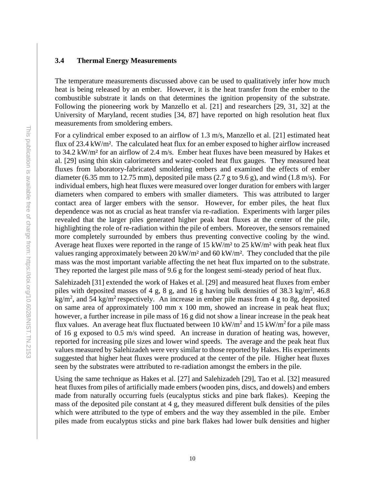# <span id="page-15-0"></span>**3.4 Thermal Energy Measurements**

The temperature measurements discussed above can be used to qualitatively infer how much heat is being released by an ember. However, it is the heat transfer from the ember to the combustible substrate it lands on that determines the ignition propensity of the substrate. Following the pioneering work by Manzello et al. [21] and researchers [29, 31, 32] at the University of Maryland, recent studies [34, 87] have reported on high resolution heat flux measurements from smoldering embers.

For a cylindrical ember exposed to an airflow of 1.3 m/s, Manzello et al. [21] estimated heat flux of 23.4 kW/m². The calculated heat flux for an ember exposed to higher airflow increased to 34.2 kW/m² for an airflow of 2.4 m/s. Ember heat fluxes have been measured by Hakes et al. [29] using thin skin calorimeters and water-cooled heat flux gauges. They measured heat fluxes from laboratory-fabricated smoldering embers and examined the effects of ember diameter (6.35 mm to 12.75 mm), deposited pile mass (2.7 g to 9.6 g), and wind (1.8 m/s). For individual embers, high heat fluxes were measured over longer duration for embers with larger diameters when compared to embers with smaller diameters. This was attributed to larger contact area of larger embers with the sensor. However, for ember piles, the heat flux dependence was not as crucial as heat transfer via re-radiation. Experiments with larger piles revealed that the larger piles generated higher peak heat fluxes at the center of the pile, highlighting the role of re-radiation within the pile of embers. Moreover, the sensors remained more completely surrounded by embers thus preventing convective cooling by the wind. Average heat fluxes were reported in the range of 15 kW/m² to 25 kW/m² with peak heat flux values ranging approximately between 20 kW/m<sup>2</sup> and 60 kW/m<sup>2</sup>. They concluded that the pile mass was the most important variable affecting the net heat flux imparted on to the substrate. They reported the largest pile mass of 9.6 g for the longest semi-steady period of heat flux.

Salehizadeh [31] extended the work of Hakes et al. [29] and measured heat fluxes from ember piles with deposited masses of 4 g, 8 g, and 16 g having bulk densities of 38.3 kg/m<sup>2</sup>, 46.8 kg/m<sup>2</sup>, and 54 kg/m<sup>2</sup> respectively. An increase in ember pile mass from 4 g to 8g, deposited on same area of approximately 100 mm x 100 mm, showed an increase in peak heat flux; however, a further increase in pile mass of 16 g did not show a linear increase in the peak heat flux values. An average heat flux fluctuated between 10 kW/m<sup>2</sup> and 15 kW/m<sup>2</sup> for a pile mass of 16 g exposed to 0.5 m/s wind speed. An increase in duration of heating was, however, reported for increasing pile sizes and lower wind speeds. The average and the peak heat flux values measured by Salehizadeh were very similar to those reported by Hakes. His experiments suggested that higher heat fluxes were produced at the center of the pile. Higher heat fluxes seen by the substrates were attributed to re-radiation amongst the embers in the pile.

Using the same technique as Hakes et al. [27] and Salehizadeh [29], Tao et al. [32] measured heat fluxes from piles of artificially made embers (wooden pins, discs, and dowels) and embers made from naturally occurring fuels (eucalyptus sticks and pine bark flakes). Keeping the mass of the deposited pile constant at 4 g, they measured different bulk densities of the piles which were attributed to the type of embers and the way they assembled in the pile. Ember piles made from eucalyptus sticks and pine bark flakes had lower bulk densities and higher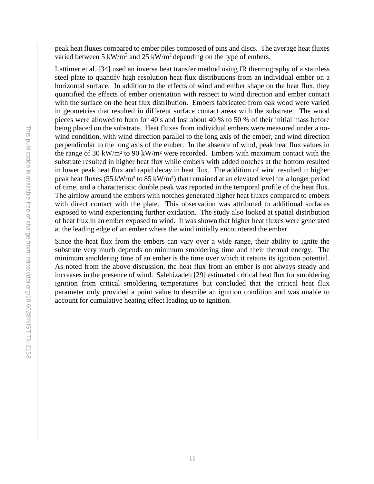peak heat fluxes compared to ember piles composed of pins and discs. The average heat fluxes varied between 5 kW/m<sup>2</sup> and 25 kW/m<sup>2</sup> depending on the type of embers.

Lattimer et al. [34] used an inverse heat transfer method using IR thermography of a stainless steel plate to quantify high resolution heat flux distributions from an individual ember on a horizontal surface. In addition to the effects of wind and ember shape on the heat flux, they quantified the effects of ember orientation with respect to wind direction and ember contact with the surface on the heat flux distribution. Embers fabricated from oak wood were varied in geometries that resulted in different surface contact areas with the substrate. The wood pieces were allowed to burn for 40 s and lost about 40 % to 50 % of their initial mass before being placed on the substrate. Heat fluxes from individual embers were measured under a nowind condition, with wind direction parallel to the long axis of the ember, and wind direction perpendicular to the long axis of the ember. In the absence of wind, peak heat flux values in the range of 30 kW/m² to 90 kW/m² were recorded. Embers with maximum contact with the substrate resulted in higher heat flux while embers with added notches at the bottom resulted in lower peak heat flux and rapid decay in heat flux. The addition of wind resulted in higher peak heat fluxes (55 kW/m² to 85 kW/m²) that remained at an elevated level for a longer period of time, and a characteristic double peak was reported in the temporal profile of the heat flux. The airflow around the embers with notches generated higher heat fluxes compared to embers with direct contact with the plate. This observation was attributed to additional surfaces exposed to wind experiencing further oxidation. The study also looked at spatial distribution of heat flux in an ember exposed to wind. It was shown that higher heat fluxes were generated at the leading edge of an ember where the wind initially encountered the ember.

Since the heat flux from the embers can vary over a wide range, their ability to ignite the substrate very much depends on minimum smoldering time and their thermal energy. The minimum smoldering time of an ember is the time over which it retains its ignition potential. As noted from the above discussion, the heat flux from an ember is not always steady and increases in the presence of wind. Salehizadeh [29] estimated critical heat flux for smoldering ignition from critical smoldering temperatures but concluded that the critical heat flux parameter only provided a point value to describe an ignition condition and was unable to account for cumulative heating effect leading up to ignition.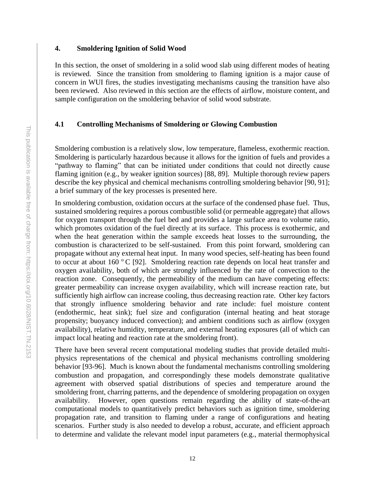#### <span id="page-17-0"></span>**4. Smoldering Ignition of Solid Wood**

In this section, the onset of smoldering in a solid wood slab using different modes of heating is reviewed. Since the transition from smoldering to flaming ignition is a major cause of concern in WUI fires, the studies investigating mechanisms causing the transition have also been reviewed. Also reviewed in this section are the effects of airflow, moisture content, and sample configuration on the smoldering behavior of solid wood substrate.

# <span id="page-17-1"></span>**4.1 Controlling Mechanisms of Smoldering or Glowing Combustion**

Smoldering combustion is a relatively slow, low temperature, flameless, exothermic reaction. Smoldering is particularly hazardous because it allows for the ignition of fuels and provides a "pathway to flaming" that can be initiated under conditions that could not directly cause flaming ignition (e.g., by weaker ignition sources) [88, 89]. Multiple thorough review papers describe the key physical and chemical mechanisms controlling smoldering behavior [90, 91]; a brief summary of the key processes is presented here.

In smoldering combustion, oxidation occurs at the surface of the condensed phase fuel. Thus, sustained smoldering requires a porous combustible solid (or permeable aggregate) that allows for oxygen transport through the fuel bed and provides a large surface area to volume ratio, which promotes oxidation of the fuel directly at its surface. This process is exothermic, and when the heat generation within the sample exceeds heat losses to the surrounding, the combustion is characterized to be self-sustained. From this point forward, smoldering can propagate without any external heat input. In many wood species, self-heating has been found to occur at about 160  $\degree$  C [92]. Smoldering reaction rate depends on local heat transfer and oxygen availability, both of which are strongly influenced by the rate of convection to the reaction zone. Consequently, the permeability of the medium can have competing effects: greater permeability can increase oxygen availability, which will increase reaction rate, but sufficiently high airflow can increase cooling, thus decreasing reaction rate. Other key factors that strongly influence smoldering behavior and rate include: fuel moisture content (endothermic, heat sink); fuel size and configuration (internal heating and heat storage propensity; buoyancy induced convection); and ambient conditions such as airflow (oxygen availability), relative humidity, temperature, and external heating exposures (all of which can impact local heating and reaction rate at the smoldering front).

There have been several recent computational modeling studies that provide detailed multiphysics representations of the chemical and physical mechanisms controlling smoldering behavior [93-96]. Much is known about the fundamental mechanisms controlling smoldering combustion and propagation, and correspondingly these models demonstrate qualitative agreement with observed spatial distributions of species and temperature around the smoldering front, charring patterns, and the dependence of smoldering propagation on oxygen availability. However, open questions remain regarding the ability of state-of-the-art computational models to quantitatively predict behaviors such as ignition time, smoldering propagation rate, and transition to flaming under a range of configurations and heating scenarios. Further study is also needed to develop a robust, accurate, and efficient approach to determine and validate the relevant model input parameters (e.g., material thermophysical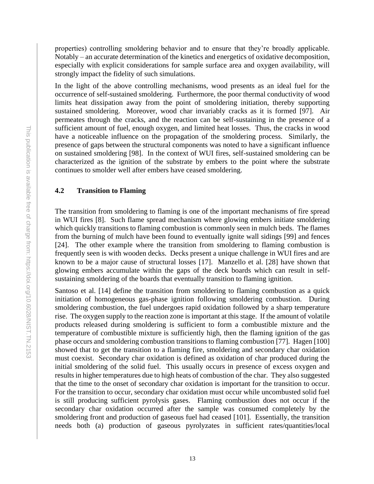properties) controlling smoldering behavior and to ensure that they're broadly applicable. Notably – an accurate determination of the kinetics and energetics of oxidative decomposition, especially with explicit considerations for sample surface area and oxygen availability, will strongly impact the fidelity of such simulations.

In the light of the above controlling mechanisms, wood presents as an ideal fuel for the occurrence of self-sustained smoldering. Furthermore, the poor thermal conductivity of wood limits heat dissipation away from the point of smoldering initiation, thereby supporting sustained smoldering. Moreover, wood char invariably cracks as it is formed [97]. Air permeates through the cracks, and the reaction can be self-sustaining in the presence of a sufficient amount of fuel, enough oxygen, and limited heat losses. Thus, the cracks in wood have a noticeable influence on the propagation of the smoldering process. Similarly, the presence of gaps between the structural components was noted to have a significant influence on sustained smoldering [98]. In the context of WUI fires, self-sustained smoldering can be characterized as the ignition of the substrate by embers to the point where the substrate continues to smolder well after embers have ceased smoldering.

# <span id="page-18-0"></span>**4.2 Transition to Flaming**

The transition from smoldering to flaming is one of the important mechanisms of fire spread in WUI fires [8]. Such flame spread mechanism where glowing embers initiate smoldering which quickly transitions to flaming combustion is commonly seen in mulch beds. The flames from the burning of mulch have been found to eventually ignite wall sidings [99] and fences [24]. The other example where the transition from smoldering to flaming combustion is frequently seen is with wooden decks. Decks present a unique challenge in WUI fires and are known to be a major cause of structural losses [17]. Manzello et al. [28] have shown that glowing embers accumulate within the gaps of the deck boards which can result in selfsustaining smoldering of the boards that eventually transition to flaming ignition.

Santoso et al. [14] define the transition from smoldering to flaming combustion as a quick initiation of homogeneous gas-phase ignition following smoldering combustion. During smoldering combustion, the fuel undergoes rapid oxidation followed by a sharp temperature rise. The oxygen supply to the reaction zone is important at this stage. If the amount of volatile products released during smoldering is sufficient to form a combustible mixture and the temperature of combustible mixture is sufficiently high, then the flaming ignition of the gas phase occurs and smoldering combustion transitions to flaming combustion [77]. Hagen [100] showed that to get the transition to a flaming fire, smoldering and secondary char oxidation must coexist. Secondary char oxidation is defined as oxidation of char produced during the initial smoldering of the solid fuel. This usually occurs in presence of excess oxygen and results in higher temperatures due to high heats of combustion of the char. They also suggested that the time to the onset of secondary char oxidation is important for the transition to occur. For the transition to occur, secondary char oxidation must occur while uncombusted solid fuel is still producing sufficient pyrolysis gases. Flaming combustion does not occur if the secondary char oxidation occurred after the sample was consumed completely by the smoldering front and production of gaseous fuel had ceased [101]. Essentially, the transition needs both (a) production of gaseous pyrolyzates in sufficient rates/quantities/local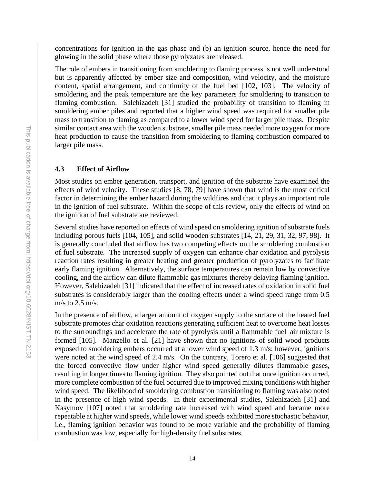concentrations for ignition in the gas phase and (b) an ignition source, hence the need for glowing in the solid phase where those pyrolyzates are released.

The role of embers in transitioning from smoldering to flaming process is not well understood but is apparently affected by ember size and composition, wind velocity, and the moisture content, spatial arrangement, and continuity of the fuel bed [102, 103]. The velocity of smoldering and the peak temperature are the key parameters for smoldering to transition to flaming combustion. Salehizadeh [31] studied the probability of transition to flaming in smoldering ember piles and reported that a higher wind speed was required for smaller pile mass to transition to flaming as compared to a lower wind speed for larger pile mass. Despite similar contact area with the wooden substrate, smaller pile mass needed more oxygen for more heat production to cause the transition from smoldering to flaming combustion compared to larger pile mass.

## <span id="page-19-0"></span>**4.3 Effect of Airflow**

Most studies on ember generation, transport, and ignition of the substrate have examined the effects of wind velocity. These studies [8, 78, 79] have shown that wind is the most critical factor in determining the ember hazard during the wildfires and that it plays an important role in the ignition of fuel substrate. Within the scope of this review, only the effects of wind on the ignition of fuel substrate are reviewed.

Several studies have reported on effects of wind speed on smoldering ignition of substrate fuels including porous fuels [104, 105], and solid wooden substrates [14, 21, 29, 31, 32, 97, 98]. It is generally concluded that airflow has two competing effects on the smoldering combustion of fuel substrate. The increased supply of oxygen can enhance char oxidation and pyrolysis reaction rates resulting in greater heating and greater production of pyrolyzates to facilitate early flaming ignition. Alternatively, the surface temperatures can remain low by convective cooling, and the airflow can dilute flammable gas mixtures thereby delaying flaming ignition. However, Salehizadeh [31] indicated that the effect of increased rates of oxidation in solid fuel substrates is considerably larger than the cooling effects under a wind speed range from 0.5 m/s to 2.5 m/s.

In the presence of airflow, a larger amount of oxygen supply to the surface of the heated fuel substrate promotes char oxidation reactions generating sufficient heat to overcome heat losses to the surroundings and accelerate the rate of pyrolysis until a flammable fuel–air mixture is formed [105]. Manzello et al. [21] have shown that no ignitions of solid wood products exposed to smoldering embers occurred at a lower wind speed of 1.3 m/s; however, ignitions were noted at the wind speed of 2.4 m/s. On the contrary, Torero et al. [106] suggested that the forced convective flow under higher wind speed generally dilutes flammable gases, resulting in longer times to flaming ignition. They also pointed out that once ignition occurred, more complete combustion of the fuel occurred due to improved mixing conditions with higher wind speed. The likelihood of smoldering combustion transitioning to flaming was also noted in the presence of high wind speeds. In their experimental studies, Salehizadeh [31] and Kasymov [107] noted that smoldering rate increased with wind speed and became more repeatable at higher wind speeds, while lower wind speeds exhibited more stochastic behavior, i.e., flaming ignition behavior was found to be more variable and the probability of flaming combustion was low, especially for high-density fuel substrates.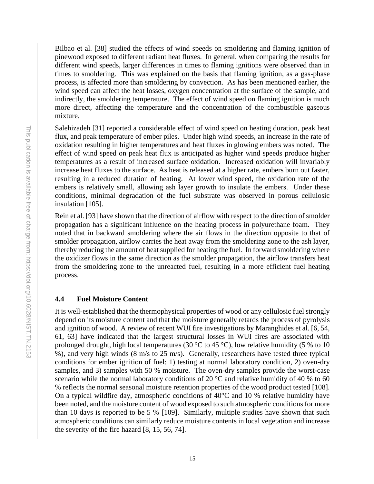Bilbao et al. [38] studied the effects of wind speeds on smoldering and flaming ignition of pinewood exposed to different radiant heat fluxes. In general, when comparing the results for different wind speeds, larger differences in times to flaming ignitions were observed than in times to smoldering. This was explained on the basis that flaming ignition, as a gas-phase process, is affected more than smoldering by convection. As has been mentioned earlier, the wind speed can affect the heat losses, oxygen concentration at the surface of the sample, and indirectly, the smoldering temperature. The effect of wind speed on flaming ignition is much more direct, affecting the temperature and the concentration of the combustible gaseous mixture.

Salehizadeh [31] reported a considerable effect of wind speed on heating duration, peak heat flux, and peak temperature of ember piles. Under high wind speeds, an increase in the rate of oxidation resulting in higher temperatures and heat fluxes in glowing embers was noted. The effect of wind speed on peak heat flux is anticipated as higher wind speeds produce higher temperatures as a result of increased surface oxidation. Increased oxidation will invariably increase heat fluxes to the surface. As heat is released at a higher rate, embers burn out faster, resulting in a reduced duration of heating. At lower wind speed, the oxidation rate of the embers is relatively small, allowing ash layer growth to insulate the embers. Under these conditions, minimal degradation of the fuel substrate was observed in porous cellulosic insulation [105].

Rein et al. [93] have shown that the direction of airflow with respect to the direction of smolder propagation has a significant influence on the heating process in polyurethane foam. They noted that in backward smoldering where the air flows in the direction opposite to that of smolder propagation, airflow carries the heat away from the smoldering zone to the ash layer, thereby reducing the amount of heat supplied for heating the fuel. In forward smoldering where the oxidizer flows in the same direction as the smolder propagation, the airflow transfers heat from the smoldering zone to the unreacted fuel, resulting in a more efficient fuel heating process.

# <span id="page-20-0"></span>**4.4 Fuel Moisture Content**

It is well-established that the thermophysical properties of wood or any cellulosic fuel strongly depend on its moisture content and that the moisture generally retards the process of pyrolysis and ignition of wood. A review of recent WUI fire investigations by Maranghides et al. [6, 54, 61, 63] have indicated that the largest structural losses in WUI fires are associated with prolonged drought, high local temperatures (30 °C to 45 °C), low relative humidity (5 % to 10 %), and very high winds (8 m/s to 25 m/s). Generally, researchers have tested three typical conditions for ember ignition of fuel: 1) testing at normal laboratory condition, 2) oven-dry samples, and 3) samples with 50 % moisture. The oven-dry samples provide the worst-case scenario while the normal laboratory conditions of 20 °C and relative humidity of 40 % to 60 % reflects the normal seasonal moisture retention properties of the wood product tested [108]. On a typical wildfire day, atmospheric conditions of 40°C and 10 % relative humidity have been noted, and the moisture content of wood exposed to such atmospheric conditions for more than 10 days is reported to be 5 % [109]. Similarly, multiple studies have shown that such atmospheric conditions can similarly reduce moisture contents in local vegetation and increase the severity of the fire hazard [8, 15, 56, 74].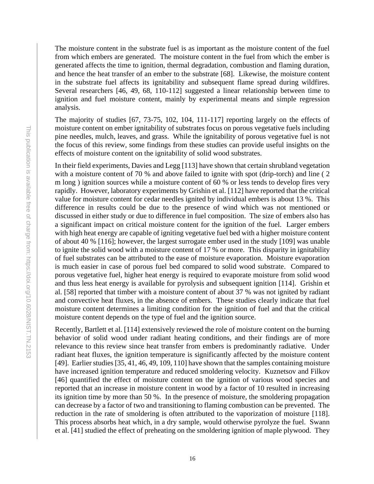The moisture content in the substrate fuel is as important as the moisture content of the fuel from which embers are generated. The moisture content in the fuel from which the ember is generated affects the time to ignition, thermal degradation, combustion and flaming duration, and hence the heat transfer of an ember to the substrate [68]. Likewise, the moisture content in the substrate fuel affects its ignitability and subsequent flame spread during wildfires. Several researchers [46, 49, 68, 110-112] suggested a linear relationship between time to ignition and fuel moisture content, mainly by experimental means and simple regression analysis.

The majority of studies [67, 73-75, 102, 104, 111-117] reporting largely on the effects of moisture content on ember ignitability of substrates focus on porous vegetative fuels including pine needles, mulch, leaves, and grass. While the ignitability of porous vegetative fuel is not the focus of this review, some findings from these studies can provide useful insights on the effects of moisture content on the ignitability of solid wood substrates.

In their field experiments, Davies and Legg [113] have shown that certain shrubland vegetation with a moisture content of 70 % and above failed to ignite with spot (drip-torch) and line (2) m long ) ignition sources while a moisture content of 60 % or less tends to develop fires very rapidly. However, laboratory experiments by Grishin et al. [112] have reported that the critical value for moisture content for cedar needles ignited by individual embers is about 13 %. This difference in results could be due to the presence of wind which was not mentioned or discussed in either study or due to difference in fuel composition. The size of embers also has a significant impact on critical moisture content for the ignition of the fuel. Larger embers with high heat energy are capable of igniting vegetative fuel bed with a higher moisture content of about 40 % [116]; however, the largest surrogate ember used in the study [109] was unable to ignite the solid wood with a moisture content of 17 % or more. This disparity in ignitability of fuel substrates can be attributed to the ease of moisture evaporation. Moisture evaporation is much easier in case of porous fuel bed compared to solid wood substrate. Compared to porous vegetative fuel, higher heat energy is required to evaporate moisture from solid wood and thus less heat energy is available for pyrolysis and subsequent ignition [114]. Grishin et al. [58] reported that timber with a moisture content of about 37 % was not ignited by radiant and convective heat fluxes, in the absence of embers. These studies clearly indicate that fuel moisture content determines a limiting condition for the ignition of fuel and that the critical moisture content depends on the type of fuel and the ignition source.

Recently, Bartlett et al. [114] extensively reviewed the role of moisture content on the burning behavior of solid wood under radiant heating conditions, and their findings are of more relevance to this review since heat transfer from embers is predominantly radiative. Under radiant heat fluxes, the ignition temperature is significantly affected by the moisture content [49]. Earlier studies [35, 41, 46, 49, 109, 110] have shown that the samples containing moisture have increased ignition temperature and reduced smoldering velocity. Kuznetsov and Filkov [46] quantified the effect of moisture content on the ignition of various wood species and reported that an increase in moisture content in wood by a factor of 10 resulted in increasing its ignition time by more than 50 %. In the presence of moisture, the smoldering propagation can decrease by a factor of two and transitioning to flaming combustion can be prevented. The reduction in the rate of smoldering is often attributed to the vaporization of moisture [118]. This process absorbs heat which, in a dry sample, would otherwise pyrolyze the fuel. Swann et al. [41] studied the effect of preheating on the smoldering ignition of maple plywood. They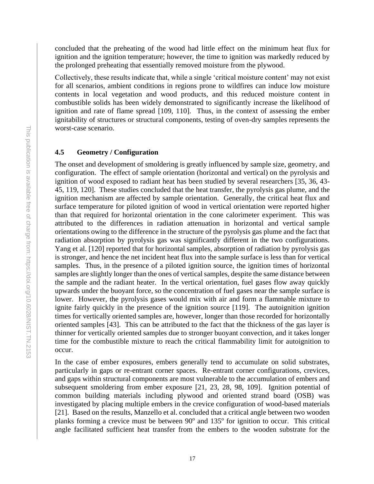concluded that the preheating of the wood had little effect on the minimum heat flux for ignition and the ignition temperature; however, the time to ignition was markedly reduced by the prolonged preheating that essentially removed moisture from the plywood.

Collectively, these results indicate that, while a single 'critical moisture content' may not exist for all scenarios, ambient conditions in regions prone to wildfires can induce low moisture contents in local vegetation and wood products, and this reduced moisture content in combustible solids has been widely demonstrated to significantly increase the likelihood of ignition and rate of flame spread [109, 110]. Thus, in the context of assessing the ember ignitability of structures or structural components, testing of oven-dry samples represents the worst-case scenario.

# <span id="page-22-0"></span>**4.5 Geometry / Configuration**

The onset and development of smoldering is greatly influenced by sample size, geometry, and configuration. The effect of sample orientation (horizontal and vertical) on the pyrolysis and ignition of wood exposed to radiant heat has been studied by several researchers [35, 36, 43- 45, 119, 120]. These studies concluded that the heat transfer, the pyrolysis gas plume, and the ignition mechanism are affected by sample orientation. Generally, the critical heat flux and surface temperature for piloted ignition of wood in vertical orientation were reported higher than that required for horizontal orientation in the cone calorimeter experiment. This was attributed to the differences in radiation attenuation in horizontal and vertical sample orientations owing to the difference in the structure of the pyrolysis gas plume and the fact that radiation absorption by pyrolysis gas was significantly different in the two configurations. Yang et al. [120] reported that for horizontal samples, absorption of radiation by pyrolysis gas is stronger, and hence the net incident heat flux into the sample surface is less than for vertical samples. Thus, in the presence of a piloted ignition source, the ignition times of horizontal samples are slightly longer than the ones of vertical samples, despite the same distance between the sample and the radiant heater. In the vertical orientation, fuel gases flow away quickly upwards under the buoyant force, so the concentration of fuel gases near the sample surface is lower. However, the pyrolysis gases would mix with air and form a flammable mixture to ignite fairly quickly in the presence of the ignition source [119]. The autoignition ignition times for vertically oriented samples are, however, longer than those recorded for horizontally oriented samples [43]. This can be attributed to the fact that the thickness of the gas layer is thinner for vertically oriented samples due to stronger buoyant convection, and it takes longer time for the combustible mixture to reach the critical flammability limit for autoignition to occur.

In the case of ember exposures, embers generally tend to accumulate on solid substrates, particularly in gaps or re-entrant corner spaces. Re-entrant corner configurations, crevices, and gaps within structural components are most vulnerable to the accumulation of embers and subsequent smoldering from ember exposure [21, 23, 28, 98, 109]. Ignition potential of common building materials including plywood and oriented strand board (OSB) was investigated by placing multiple embers in the crevice configuration of wood-based materials [21]. Based on the results, Manzello et al. concluded that a critical angle between two wooden planks forming a crevice must be between 90° and 135° for ignition to occur. This critical angle facilitated sufficient heat transfer from the embers to the wooden substrate for the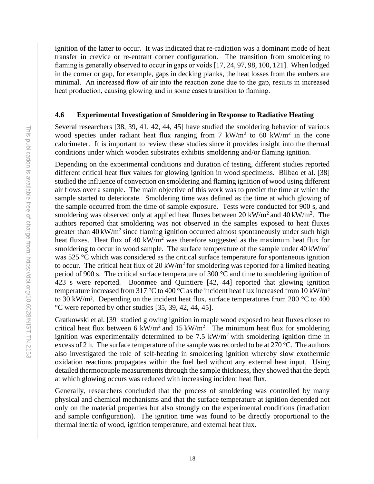ignition of the latter to occur. It was indicated that re-radiation was a dominant mode of heat transfer in crevice or re-entrant corner configuration. The transition from smoldering to flaming is generally observed to occur in gaps or voids [17, 24, 97, 98, 100, 121]. When lodged in the corner or gap, for example, gaps in decking planks, the heat losses from the embers are minimal. An increased flow of air into the reaction zone due to the gap, results in increased heat production, causing glowing and in some cases transition to flaming.

#### <span id="page-23-0"></span>**4.6 Experimental Investigation of Smoldering in Response to Radiative Heating**

Several researchers [38, 39, 41, 42, 44, 45] have studied the smoldering behavior of various wood species under radiant heat flux ranging from 7 kW/m<sup>2</sup> to 60 kW/m<sup>2</sup> in the cone calorimeter. It is important to review these studies since it provides insight into the thermal conditions under which wooden substrates exhibits smoldering and/or flaming ignition.

Depending on the experimental conditions and duration of testing, different studies reported different critical heat flux values for glowing ignition in wood specimens. Bilbao et al. [38] studied the influence of convection on smoldering and flaming ignition of wood using different air flows over a sample. The main objective of this work was to predict the time at which the sample started to deteriorate. Smoldering time was defined as the time at which glowing of the sample occurred from the time of sample exposure. Tests were conducted for 900 s, and smoldering was observed only at applied heat fluxes between 20 kW/m<sup>2</sup> and 40 kW/m<sup>2</sup>. The authors reported that smoldering was not observed in the samples exposed to heat fluxes greater than  $40 \text{ kW/m}^2$  since flaming ignition occurred almost spontaneously under such high heat fluxes. Heat flux of 40 kW/m<sup>2</sup> was therefore suggested as the maximum heat flux for smoldering to occur in wood sample. The surface temperature of the sample under  $40 \text{ kW/m}^2$ was 525 °C which was considered as the critical surface temperature for spontaneous ignition to occur. The critical heat flux of 20 kW/m<sup>2</sup> for smoldering was reported for a limited heating period of 900 s. The critical surface temperature of 300  $\degree$ C and time to smoldering ignition of 423 s were reported. Boonmee and Quintiere [42, 44] reported that glowing ignition temperature increased from 317 °C to 400 °C as the incident heat flux increased from 10 kW/m<sup>2</sup> to 30 kW/m<sup>2</sup>. Depending on the incident heat flux, surface temperatures from 200  $\degree$ C to 400 °C were reported by other studies [35, 39, 42, 44, 45].

Gratkowski et al. [39] studied glowing ignition in maple wood exposed to heat fluxes closer to critical heat flux between 6 kW/m<sup>2</sup> and 15 kW/m<sup>2</sup>. The minimum heat flux for smoldering ignition was experimentally determined to be 7.5  $kW/m<sup>2</sup>$  with smoldering ignition time in excess of 2 h. The surface temperature of the sample was recorded to be at  $270^{\circ}$ C. The authors also investigated the role of self-heating in smoldering ignition whereby slow exothermic oxidation reactions propagates within the fuel bed without any external heat input. Using detailed thermocouple measurements through the sample thickness, they showed that the depth at which glowing occurs was reduced with increasing incident heat flux.

Generally, researchers concluded that the process of smoldering was controlled by many physical and chemical mechanisms and that the surface temperature at ignition depended not only on the material properties but also strongly on the experimental conditions (irradiation and sample configuration). The ignition time was found to be directly proportional to the thermal inertia of wood, ignition temperature, and external heat flux.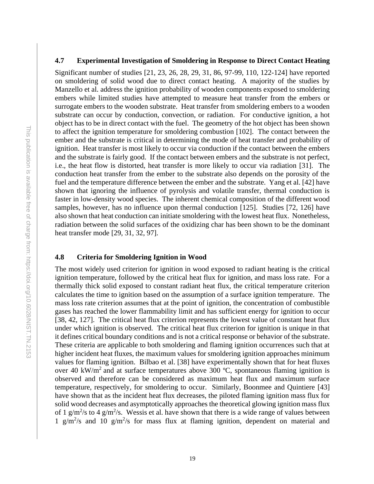#### <span id="page-24-0"></span>**4.7 Experimental Investigation of Smoldering in Response to Direct Contact Heating**

Significant number of studies [21, 23, 26, 28, 29, 31, 86, 97-99, 110, 122-124] have reported on smoldering of solid wood due to direct contact heating. A majority of the studies by Manzello et al. address the ignition probability of wooden components exposed to smoldering embers while limited studies have attempted to measure heat transfer from the embers or surrogate embers to the wooden substrate. Heat transfer from smoldering embers to a wooden substrate can occur by conduction, convection, or radiation. For conductive ignition, a hot object has to be in direct contact with the fuel. The geometry of the hot object has been shown to affect the ignition temperature for smoldering combustion [102]. The contact between the ember and the substrate is critical in determining the mode of heat transfer and probability of ignition. Heat transfer is most likely to occur via conduction if the contact between the embers and the substrate is fairly good. If the contact between embers and the substrate is not perfect, i.e., the heat flow is distorted, heat transfer is more likely to occur via radiation [31]. The conduction heat transfer from the ember to the substrate also depends on the porosity of the fuel and the temperature difference between the ember and the substrate. Yang et al. [42] have shown that ignoring the influence of pyrolysis and volatile transfer, thermal conduction is faster in low-density wood species. The inherent chemical composition of the different wood samples, however, has no influence upon thermal conduction [125]. Studies [72, 126] have also shown that heat conduction can initiate smoldering with the lowest heat flux. Nonetheless, radiation between the solid surfaces of the oxidizing char has been shown to be the dominant heat transfer mode [29, 31, 32, 97].

# <span id="page-24-1"></span>**4.8 Criteria for Smoldering Ignition in Wood**

The most widely used criterion for ignition in wood exposed to radiant heating is the critical ignition temperature, followed by the critical heat flux for ignition, and mass loss rate. For a thermally thick solid exposed to constant radiant heat flux, the critical temperature criterion calculates the time to ignition based on the assumption of a surface ignition temperature. The mass loss rate criterion assumes that at the point of ignition, the concentration of combustible gases has reached the lower flammability limit and has sufficient energy for ignition to occur [38, 42, 127]. The critical heat flux criterion represents the lowest value of constant heat flux under which ignition is observed. The critical heat flux criterion for ignition is unique in that it defines critical boundary conditions and is not a critical response or behavior of the substrate. These criteria are applicable to both smoldering and flaming ignition occurrences such that at higher incident heat fluxes, the maximum values for smoldering ignition approaches minimum values for flaming ignition. Bilbao et al. [38] have experimentally shown that for heat fluxes over 40 kW/m<sup>2</sup> and at surface temperatures above 300 °C, spontaneous flaming ignition is observed and therefore can be considered as maximum heat flux and maximum surface temperature, respectively, for smoldering to occur. Similarly, Boonmee and Quintiere [43] have shown that as the incident heat flux decreases, the piloted flaming ignition mass flux for solid wood decreases and asymptotically approaches the theoretical glowing ignition mass flux of 1 g/m<sup>2</sup>/s to 4 g/m<sup>2</sup>/s. Wessis et al. have shown that there is a wide range of values between 1  $g/m^2$ /s and 10  $g/m^2$ /s for mass flux at flaming ignition, dependent on material and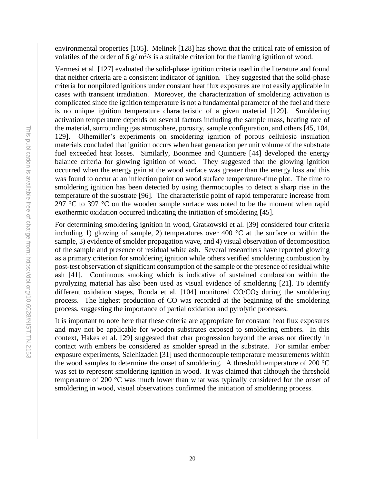environmental properties [105]. Melinek [128] has shown that the critical rate of emission of volatiles of the order of 6  $g/m^2/s$  is a suitable criterion for the flaming ignition of wood.

Vermesi et al. [127] evaluated the solid-phase ignition criteria used in the literature and found that neither criteria are a consistent indicator of ignition. They suggested that the solid-phase criteria for nonpiloted ignitions under constant heat flux exposures are not easily applicable in cases with transient irradiation. Moreover, the characterization of smoldering activation is complicated since the ignition temperature is not a fundamental parameter of the fuel and there is no unique ignition temperature characteristic of a given material [129]. Smoldering activation temperature depends on several factors including the sample mass, heating rate of the material, surrounding gas atmosphere, porosity, sample configuration, and others [45, 104, 129]. Olhemiller's experiments on smoldering ignition of porous cellulosic insulation materials concluded that ignition occurs when heat generation per unit volume of the substrate fuel exceeded heat losses. Similarly, Boonmee and Quintiere [44] developed the energy balance criteria for glowing ignition of wood. They suggested that the glowing ignition occurred when the energy gain at the wood surface was greater than the energy loss and this was found to occur at an inflection point on wood surface temperature-time plot. The time to smoldering ignition has been detected by using thermocouples to detect a sharp rise in the temperature of the substrate [96]. The characteristic point of rapid temperature increase from  $297^{\circ}$ C to 397 °C on the wooden sample surface was noted to be the moment when rapid exothermic oxidation occurred indicating the initiation of smoldering [45].

For determining smoldering ignition in wood, Gratkowski et al. [39] considered four criteria including 1) glowing of sample, 2) temperatures over 400  $^{\circ}$ C at the surface or within the sample, 3) evidence of smolder propagation wave, and 4) visual observation of decomposition of the sample and presence of residual white ash. Several researchers have reported glowing as a primary criterion for smoldering ignition while others verified smoldering combustion by post-test observation of significant consumption of the sample or the presence of residual white ash [41]. Continuous smoking which is indicative of sustained combustion within the pyrolyzing material has also been used as visual evidence of smoldering [21]. To identify different oxidation stages, Ronda et al.  $[104]$  monitored CO/CO<sub>2</sub> during the smoldering process. The highest production of CO was recorded at the beginning of the smoldering process, suggesting the importance of partial oxidation and pyrolytic processes.

It is important to note here that these criteria are appropriate for constant heat flux exposures and may not be applicable for wooden substrates exposed to smoldering embers. In this context, Hakes et al. [29] suggested that char progression beyond the areas not directly in contact with embers be considered as smolder spread in the substrate. For similar ember exposure experiments, Salehizadeh [31] used thermocouple temperature measurements within the wood samples to determine the onset of smoldering. A threshold temperature of 200 °C was set to represent smoldering ignition in wood. It was claimed that although the threshold temperature of 200 °C was much lower than what was typically considered for the onset of smoldering in wood, visual observations confirmed the initiation of smoldering process.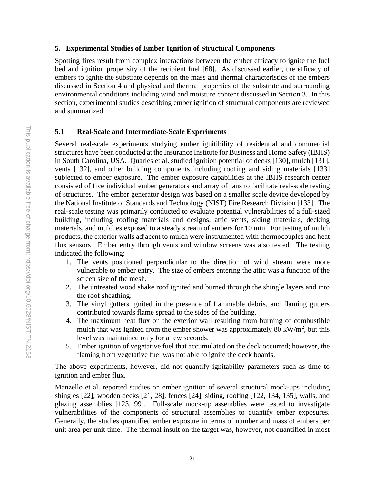# <span id="page-26-0"></span>**5. Experimental Studies of Ember Ignition of Structural Components**

Spotting fires result from complex interactions between the ember efficacy to ignite the fuel bed and ignition propensity of the recipient fuel [68]. As discussed earlier, the efficacy of embers to ignite the substrate depends on the mass and thermal characteristics of the embers discussed in Section 4 and physical and thermal properties of the substrate and surrounding environmental conditions including wind and moisture content discussed in Section 3. In this section, experimental studies describing ember ignition of structural components are reviewed and summarized.

# <span id="page-26-1"></span>**5.1 Real-Scale and Intermediate-Scale Experiments**

Several real-scale experiments studying ember ignitibility of residential and commercial structures have been conducted at the Insurance Institute for Business and Home Safety (IBHS) in South Carolina, USA. Quarles et al. studied ignition potential of decks [130], mulch [131], vents [132], and other building components including roofing and siding materials [133] subjected to ember exposure. The ember exposure capabilities at the IBHS research center consisted of five individual ember generators and array of fans to facilitate real-scale testing of structures. The ember generator design was based on a smaller scale device developed by the National Institute of Standards and Technology (NIST) Fire Research Division [133]. The real-scale testing was primarily conducted to evaluate potential vulnerabilities of a full-sized building, including roofing materials and designs, attic vents, siding materials, decking materials, and mulches exposed to a steady stream of embers for 10 min. For testing of mulch products, the exterior walls adjacent to mulch were instrumented with thermocouples and heat flux sensors. Ember entry through vents and window screens was also tested. The testing indicated the following:

- 1. The vents positioned perpendicular to the direction of wind stream were more vulnerable to ember entry. The size of embers entering the attic was a function of the screen size of the mesh.
- 2. The untreated wood shake roof ignited and burned through the shingle layers and into the roof sheathing.
- 3. The vinyl gutters ignited in the presence of flammable debris, and flaming gutters contributed towards flame spread to the sides of the building.
- 4. The maximum heat flux on the exterior wall resulting from burning of combustible mulch that was ignited from the ember shower was approximately 80 kW/m<sup>2</sup>, but this level was maintained only for a few seconds.
- 5. Ember ignition of vegetative fuel that accumulated on the deck occurred; however, the flaming from vegetative fuel was not able to ignite the deck boards.

The above experiments, however, did not quantify ignitability parameters such as time to ignition and ember flux.

Manzello et al. reported studies on ember ignition of several structural mock-ups including shingles [22], wooden decks [21, 28], fences [24], siding, roofing [122, 134, 135], walls, and glazing assemblies [123, 99]. Full-scale mock-up assemblies were tested to investigate vulnerabilities of the components of structural assemblies to quantify ember exposures. Generally, the studies quantified ember exposure in terms of number and mass of embers per unit area per unit time. The thermal insult on the target was, however, not quantified in most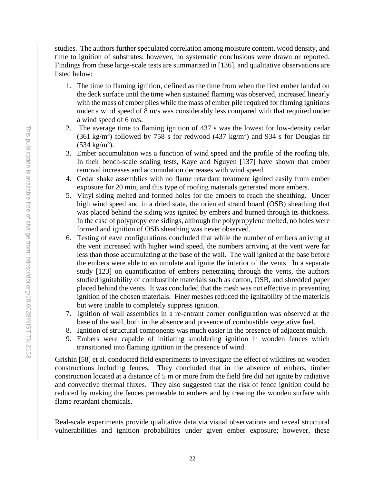studies. The authors further speculated correlation among moisture content, wood density, and time to ignition of substrates; however, no systematic conclusions were drawn or reported. Findings from these large-scale tests are summarized in [136], and qualitative observations are listed below:

- 1. The time to flaming ignition, defined as the time from when the first ember landed on the deck surface until the time when sustained flaming was observed, increased linearly with the mass of ember piles while the mass of ember pile required for flaming ignitions under a wind speed of  $\overline{8}$  m/s was considerably less compared with that required under a wind speed of 6 m/s.
- 2. The average time to flaming ignition of 437 s was the lowest for low-density cedar  $(361 \text{ kg/m}^3)$  followed by 758 s for redwood  $(437 \text{ kg/m}^3)$  and 934 s for Douglas fir  $(534 \text{ kg/m}^3)$ .
- 3. Ember accumulation was a function of wind speed and the profile of the roofing tile. In their bench-scale scaling tests, Kaye and Nguyen [137] have shown that ember removal increases and accumulation decreases with wind speed.
- 4. Cedar shake assemblies with no flame retardant treatment ignited easily from ember exposure for 20 min, and this type of roofing materials generated more embers.
- 5. Vinyl siding melted and formed holes for the embers to reach the sheathing. Under high wind speed and in a dried state, the oriented strand board (OSB) sheathing that was placed behind the siding was ignited by embers and burned through its thickness. In the case of polypropylene sidings, although the polypropylene melted, no holes were formed and ignition of OSB sheathing was never observed.
- 6. Testing of eave configurations concluded that while the number of embers arriving at the vent increased with higher wind speed, the numbers arriving at the vent were far less than those accumulating at the base of the wall. The wall ignited at the base before the embers were able to accumulate and ignite the interior of the vents. In a separate study [123] on quantification of embers penetrating through the vents, the authors studied ignitability of combustible materials such as cotton, OSB, and shredded paper placed behind the vents. It was concluded that the mesh was not effective in preventing ignition of the chosen materials. Finer meshes reduced the ignitability of the materials but were unable to completely suppress ignition.
- 7. Ignition of wall assemblies in a re-entrant corner configuration was observed at the base of the wall, both in the absence and presence of combustible vegetative fuel.
- 8. Ignition of structural components was much easier in the presence of adjacent mulch.
- 9. Embers were capable of initiating smoldering ignition in wooden fences which transitioned into flaming ignition in the presence of wind.

Grishin [58] et al. conducted field experiments to investigate the effect of wildfires on wooden constructions including fences. They concluded that in the absence of embers, timber construction located at a distance of 5 m or more from the field fire did not ignite by radiative and convective thermal fluxes. They also suggested that the risk of fence ignition could be reduced by making the fences permeable to embers and by treating the wooden surface with flame retardant chemicals.

Real-scale experiments provide qualitative data via visual observations and reveal structural vulnerabilities and ignition probabilities under given ember exposure; however, these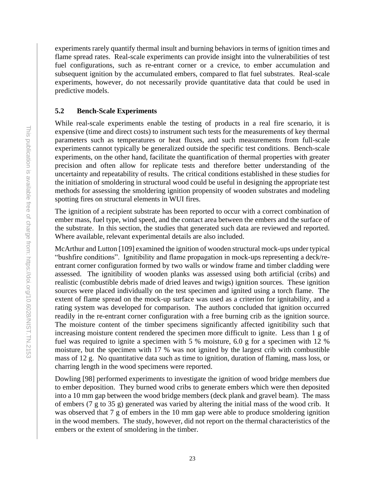experiments rarely quantify thermal insult and burning behaviors in terms of ignition times and flame spread rates. Real-scale experiments can provide insight into the vulnerabilities of test fuel configurations, such as re-entrant corner or a crevice, to ember accumulation and subsequent ignition by the accumulated embers, compared to flat fuel substrates. Real-scale experiments, however, do not necessarily provide quantitative data that could be used in predictive models.

# <span id="page-28-0"></span>**5.2 Bench-Scale Experiments**

While real-scale experiments enable the testing of products in a real fire scenario, it is expensive (time and direct costs) to instrument such tests for the measurements of key thermal parameters such as temperatures or heat fluxes, and such measurements from full-scale experiments cannot typically be generalized outside the specific test conditions. Bench-scale experiments, on the other hand, facilitate the quantification of thermal properties with greater precision and often allow for replicate tests and therefore better understanding of the uncertainty and repeatability of results. The critical conditions established in these studies for the initiation of smoldering in structural wood could be useful in designing the appropriate test methods for assessing the smoldering ignition propensity of wooden substrates and modeling spotting fires on structural elements in WUI fires.

The ignition of a recipient substrate has been reported to occur with a correct combination of ember mass, fuel type, wind speed, and the contact area between the embers and the surface of the substrate. In this section, the studies that generated such data are reviewed and reported. Where available, relevant experimental details are also included.

McArthur and Lutton [109] examined the ignition of wooden structural mock-ups under typical "bushfire conditions". Ignitibility and flame propagation in mock-ups representing a deck/reentrant corner configuration formed by two walls or window frame and timber cladding were assessed. The ignitibility of wooden planks was assessed using both artificial (cribs) and realistic (combustible debris made of dried leaves and twigs) ignition sources. These ignition sources were placed individually on the test specimen and ignited using a torch flame. The extent of flame spread on the mock-up surface was used as a criterion for ignitability, and a rating system was developed for comparison. The authors concluded that ignition occurred readily in the re-entrant corner configuration with a free burning crib as the ignition source. The moisture content of the timber specimens significantly affected ignitibility such that increasing moisture content rendered the specimen more difficult to ignite. Less than 1 g of fuel was required to ignite a specimen with 5 % moisture, 6.0 g for a specimen with 12 % moisture, but the specimen with 17 % was not ignited by the largest crib with combustible mass of 12 g. No quantitative data such as time to ignition, duration of flaming, mass loss, or charring length in the wood specimens were reported.

Dowling [98] performed experiments to investigate the ignition of wood bridge members due to ember deposition. They burned wood cribs to generate embers which were then deposited into a 10 mm gap between the wood bridge members (deck plank and gravel beam). The mass of embers (7 g to 35 g) generated was varied by altering the initial mass of the wood crib. It was observed that 7 g of embers in the 10 mm gap were able to produce smoldering ignition in the wood members. The study, however, did not report on the thermal characteristics of the embers or the extent of smoldering in the timber.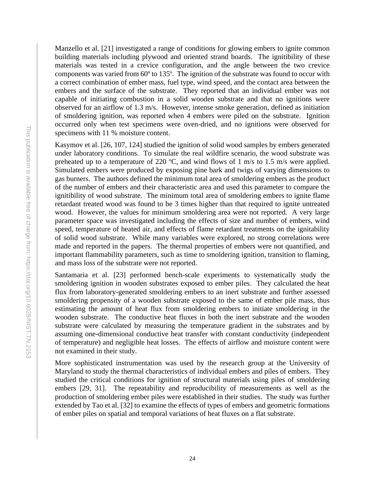Manzello et al. [21] investigated a range of conditions for glowing embers to ignite common building materials including plywood and oriented strand boards. The ignitibility of these materials was tested in a crevice configuration, and the angle between the two crevice components was varied from 60º to 135º. The ignition of the substrate was found to occur with a correct combination of ember mass, fuel type, wind speed, and the contact area between the embers and the surface of the substrate. They reported that an individual ember was not capable of initiating combustion in a solid wooden substrate and that no ignitions were observed for an airflow of 1.3 m/s. However, intense smoke generation, defined as initiation of smoldering ignition, was reported when 4 embers were piled on the substrate. Ignition occurred only when test specimens were oven-dried, and no ignitions were observed for specimens with 11 % moisture content.

Kasymov et al. [26, 107, 124] studied the ignition of solid wood samples by embers generated under laboratory conditions. To simulate the real wildfire scenario, the wood substrate was preheated up to a temperature of 220  $^{\circ}$ C, and wind flows of 1 m/s to 1.5 m/s were applied. Simulated embers were produced by exposing pine bark and twigs of varying dimensions to gas burners. The authors defined the minimum total area of smoldering embers as the product of the number of embers and their characteristic area and used this parameter to compare the ignitibility of wood substrate. The minimum total area of smoldering embers to ignite flame retardant treated wood was found to be 3 times higher than that required to ignite untreated wood. However, the values for minimum smoldering area were not reported. A very large parameter space was investigated including the effects of size and number of embers, wind speed, temperature of heated air, and effects of flame retardant treatments on the ignitability of solid wood substrate. While many variables were explored, no strong correlations were made and reported in the papers. The thermal properties of embers were not quantified, and important flammability parameters, such as time to smoldering ignition, transition to flaming, and mass loss of the substrate were not reported.

Santamaria et al. [23] performed bench-scale experiments to systematically study the smoldering ignition in wooden substrates exposed to ember piles. They calculated the heat flux from laboratory-generated smoldering embers to an inert substrate and further assessed smoldering propensity of a wooden substrate exposed to the same of ember pile mass, thus estimating the amount of heat flux from smoldering embers to initiate smoldering in the wooden substrate. The conductive heat fluxes in both the inert substrate and the wooden substrate were calculated by measuring the temperature gradient in the substrates and by assuming one-dimensional conductive heat transfer with constant conductivity (independent of temperature) and negligible heat losses. The effects of airflow and moisture content were not examined in their study.

More sophisticated instrumentation was used by the research group at the University of Maryland to study the thermal characteristics of individual embers and piles of embers. They studied the critical conditions for ignition of structural materials using piles of smoldering embers [29, 31]. The repeatability and reproducibility of measurements as well as the production of smoldering ember piles were established in their studies. The study was further extended by Tao et al. [32] to examine the effects of types of embers and geometric formations of ember piles on spatial and temporal variations of heat fluxes on a flat substrate.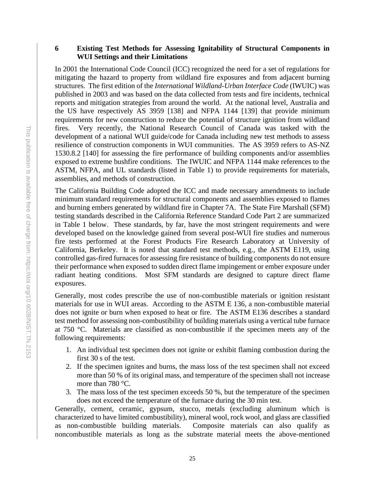# <span id="page-30-0"></span>**6 Existing Test Methods for Assessing Ignitability of Structural Components in WUI Settings and their Limitations**

In 2001 the International Code Council (ICC) recognized the need for a set of regulations for mitigating the hazard to property from wildland fire exposures and from adjacent burning structures. The first edition of the *International Wildland-Urban Interface Code* (IWUIC) was published in 2003 and was based on the data collected from tests and fire incidents, technical reports and mitigation strategies from around the world. At the national level, Australia and the US have respectively AS 3959 [138] and NFPA 1144 [139] that provide minimum requirements for new construction to reduce the potential of structure ignition from wildland fires. Very recently, the National Research Council of Canada was tasked with the development of a national WUI guide/code for Canada including new test methods to assess resilience of construction components in WUI communities. The AS 3959 refers to AS-NZ 1530.8.2 [140] for assessing the fire performance of building components and/or assemblies exposed to extreme bushfire conditions. The IWUIC and NFPA 1144 make references to the ASTM, NFPA, and UL standards (listed in Table 1) to provide requirements for materials, assemblies, and methods of construction.

The California Building Code adopted the ICC and made necessary amendments to include minimum standard requirements for structural components and assemblies exposed to flames and burning embers generated by wildland fire in Chapter 7A. The State Fire Marshall (SFM) testing standards described in the California Reference Standard Code Part 2 are summarized in Table 1 below. These standards, by far, have the most stringent requirements and were developed based on the knowledge gained from several post-WUI fire studies and numerous fire tests performed at the Forest Products Fire Research Laboratory at University of California, Berkeley. It is noted that standard test methods, e.g., the ASTM E119, using controlled gas-fired furnaces for assessing fire resistance of building components do not ensure their performance when exposed to sudden direct flame impingement or ember exposure under radiant heating conditions. Most SFM standards are designed to capture direct flame exposures.

Generally, most codes prescribe the use of non-combustible materials or ignition resistant materials for use in WUI areas. According to the ASTM E 136, a non-combustible material does not ignite or burn when exposed to heat or fire. The ASTM E136 describes a standard test method for assessing non-combustibility of building materials using a vertical tube furnace at 750 °C. Materials are classified as non-combustible if the specimen meets any of the following requirements:

- 1. An individual test specimen does not ignite or exhibit flaming combustion during the first 30 s of the test.
- 2. If the specimen ignites and burns, the mass loss of the test specimen shall not exceed more than 50 % of its original mass, and temperature of the specimen shall not increase more than 780 °C.
- 3. The mass loss of the test specimen exceeds 50 %, but the temperature of the specimen does not exceed the temperature of the furnace during the 30 min test.

Generally, cement, ceramic, gypsum, stucco, metals (excluding aluminum which is characterized to have limited combustibility), mineral wool, rock wool, and glass are classified<br>as non-combustible building materials. Composite materials can also qualify as Composite materials can also qualify as noncombustible materials as long as the substrate material meets the above-mentioned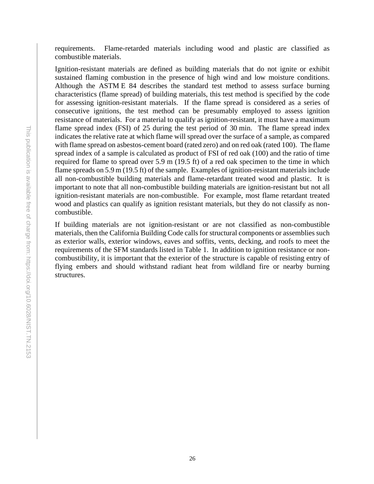requirements. Flame-retarded materials including wood and plastic are classified as combustible materials.

Ignition-resistant materials are defined as building materials that do not ignite or exhibit sustained flaming combustion in the presence of high wind and low moisture conditions. Although the ASTM E 84 describes the standard test method to assess surface burning characteristics (flame spread) of building materials, this test method is specified by the code for assessing ignition-resistant materials. If the flame spread is considered as a series of consecutive ignitions, the test method can be presumably employed to assess ignition resistance of materials. For a material to qualify as ignition-resistant, it must have a maximum flame spread index (FSI) of 25 during the test period of 30 min. The flame spread index indicates the relative rate at which flame will spread over the surface of a sample, as compared with flame spread on asbestos-cement board (rated zero) and on red oak (rated 100). The flame spread index of a sample is calculated as product of FSI of red oak (100) and the ratio of time required for flame to spread over 5.9 m (19.5 ft) of a red oak specimen to the time in which flame spreads on 5.9 m (19.5 ft) of the sample. Examples of ignition-resistant materials include all non-combustible building materials and flame-retardant treated wood and plastic. It is important to note that all non-combustible building materials are ignition-resistant but not all ignition-resistant materials are non-combustible. For example, most flame retardant treated wood and plastics can qualify as ignition resistant materials, but they do not classify as noncombustible.

If building materials are not ignition-resistant or are not classified as non-combustible materials, then the California Building Code calls for structural components or assemblies such as exterior walls, exterior windows, eaves and soffits, vents, decking, and roofs to meet the requirements of the SFM standards listed in Table 1. In addition to ignition resistance or noncombustibility, it is important that the exterior of the structure is capable of resisting entry of flying embers and should withstand radiant heat from wildland fire or nearby burning structures.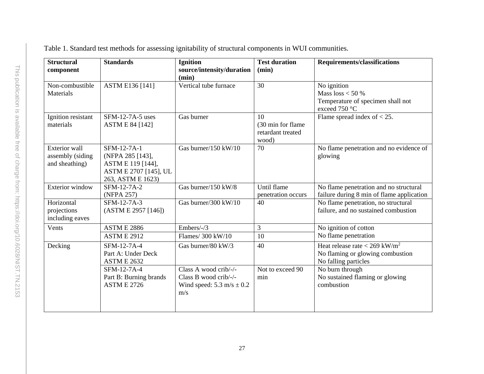<span id="page-32-0"></span>

| <b>Structural</b><br>component                             | <b>Standards</b>                                                                                   | <b>Ignition</b><br>source/intensity/duration<br>(min)                                          | <b>Test duration</b><br>(min)                         | <b>Requirements/classifications</b>                                                                     |
|------------------------------------------------------------|----------------------------------------------------------------------------------------------------|------------------------------------------------------------------------------------------------|-------------------------------------------------------|---------------------------------------------------------------------------------------------------------|
| Non-combustible<br>Materials                               | ASTM E136 [141]                                                                                    | Vertical tube furnace                                                                          | 30                                                    | No ignition<br>Mass $loss < 50%$<br>Temperature of specimen shall not<br>exceed 750 °C                  |
| Ignition resistant<br>materials                            | $SFM-12-7A-5$ uses<br><b>ASTM E 84 [142]</b>                                                       | Gas burner                                                                                     | 10<br>(30 min for flame<br>retardant treated<br>wood) | Flame spread index of $<$ 25.                                                                           |
| <b>Exterior</b> wall<br>assembly (siding<br>and sheathing) | SFM-12-7A-1<br>(NFPA 285 [143],<br>ASTM E 119 [144],<br>ASTM E 2707 [145], UL<br>263, ASTM E 1623) | Gas burner/150 kW/10                                                                           | 70                                                    | No flame penetration and no evidence of<br>glowing                                                      |
| <b>Exterior</b> window                                     | SFM-12-7A-2<br>(NFPA 257)                                                                          | Gas burner/150 kW/8                                                                            | Until flame<br>penetration occurs                     | No flame penetration and no structural<br>failure during 8 min of flame application                     |
| Horizontal<br>projections<br>including eaves               | SFM-12-7A-3<br>(ASTM E 2957 [146])                                                                 | Gas burner/300 kW/10                                                                           | 40                                                    | No flame penetration, no structural<br>failure, and no sustained combustion                             |
| Vents                                                      | <b>ASTM E 2886</b><br><b>ASTM E 2912</b>                                                           | Embers/-/3<br>Flames/ 300 kW/10                                                                | 3<br>10                                               | No ignition of cotton<br>No flame penetration                                                           |
| Decking                                                    | SFM-12-7A-4<br>Part A: Under Deck<br><b>ASTM E 2632</b>                                            | Gas burner/80 kW/3                                                                             | 40                                                    | Heat release rate $<$ 269 kW/m <sup>2</sup><br>No flaming or glowing combustion<br>No falling particles |
|                                                            | SFM-12-7A-4<br>Part B: Burning brands<br><b>ASTM E 2726</b>                                        | Class A wood crib/-/-<br>Class B wood crib/-/-<br>Wind speed: $5.3 \text{ m/s} \pm 0.2$<br>m/s | Not to exceed 90<br>min                               | No burn through<br>No sustained flaming or glowing<br>combustion                                        |

Table 1. Standard test methods for assessing ignitability of structural components in WUI communities.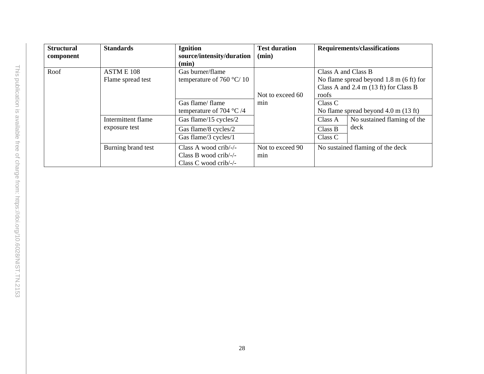| <b>Structural</b><br>component | <b>Standards</b>                    | <b>Ignition</b><br>source/intensity/duration<br>(min)                   | <b>Test duration</b><br>(min) |                                                                                                                                        | <b>Requirements/classifications</b> |
|--------------------------------|-------------------------------------|-------------------------------------------------------------------------|-------------------------------|----------------------------------------------------------------------------------------------------------------------------------------|-------------------------------------|
| Roof                           | ASTM E 108<br>Flame spread test     | Gas burner/flame<br>temperature of 760 $\degree$ C/10                   | Not to exceed 60              | Class A and Class B<br>No flame spread beyond $1.8 \text{ m}$ (6 ft) for<br>Class A and $2.4$ m $(13 \text{ ft})$ for Class B<br>roofs |                                     |
|                                |                                     | Gas flame/ flame<br>temperature of 704 $\degree$ C /4                   | min                           | Class C<br>No flame spread beyond $4.0 \text{ m}$ (13 ft)                                                                              |                                     |
|                                | Intermittent flame<br>exposure test | Gas flame/15 cycles/2<br>Gas flame/8 cycles/2<br>Gas flame/3 cycles/1   |                               | Class A<br>Class B<br>Class C                                                                                                          | No sustained flaming of the<br>deck |
|                                | Burning brand test                  | Class A wood crib/-/-<br>Class B wood crib/-/-<br>Class C wood crib/-/- | Not to exceed 90<br>min       |                                                                                                                                        | No sustained flaming of the deck    |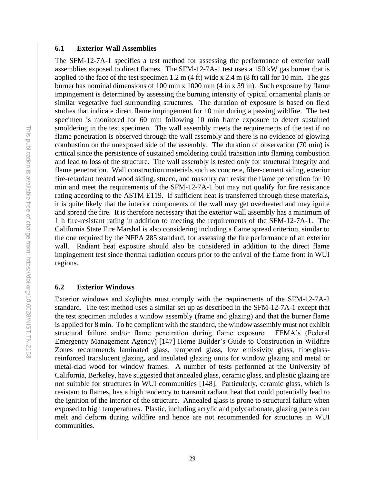## <span id="page-34-0"></span>**6.1 Exterior Wall Assemblies**

The SFM-12-7A-1 specifies a test method for assessing the performance of exterior wall assemblies exposed to direct flames. The SFM-12-7A-1 test uses a 150 kW gas burner that is applied to the face of the test specimen 1.2 m  $(4 \text{ ft})$  wide x 2.4 m  $(8 \text{ ft})$  tall for 10 min. The gas burner has nominal dimensions of 100 mm x 1000 mm (4 in x 39 in). Such exposure by flame impingement is determined by assessing the burning intensity of typical ornamental plants or similar vegetative fuel surrounding structures. The duration of exposure is based on field studies that indicate direct flame impingement for 10 min during a passing wildfire. The test specimen is monitored for 60 min following 10 min flame exposure to detect sustained smoldering in the test specimen. The wall assembly meets the requirements of the test if no flame penetration is observed through the wall assembly and there is no evidence of glowing combustion on the unexposed side of the assembly. The duration of observation (70 min) is critical since the persistence of sustained smoldering could transition into flaming combustion and lead to loss of the structure. The wall assembly is tested only for structural integrity and flame penetration. Wall construction materials such as concrete, fiber-cement siding, exterior fire-retardant treated wood siding, stucco, and masonry can resist the flame penetration for 10 min and meet the requirements of the SFM-12-7A-1 but may not qualify for fire resistance rating according to the ASTM E119. If sufficient heat is transferred through these materials, it is quite likely that the interior components of the wall may get overheated and may ignite and spread the fire. It is therefore necessary that the exterior wall assembly has a minimum of 1 h fire-resistant rating in addition to meeting the requirements of the SFM-12-7A-1. The California State Fire Marshal is also considering including a flame spread criterion, similar to the one required by the NFPA 285 standard, for assessing the fire performance of an exterior wall. Radiant heat exposure should also be considered in addition to the direct flame impingement test since thermal radiation occurs prior to the arrival of the flame front in WUI regions.

# <span id="page-34-1"></span>**6.2 Exterior Windows**

Exterior windows and skylights must comply with the requirements of the SFM-12-7A-2 standard. The test method uses a similar set up as described in the SFM-12-7A-1 except that the test specimen includes a window assembly (frame and glazing) and that the burner flame is applied for 8 min. To be compliant with the standard, the window assembly must not exhibit structural failure and/or flame penetration during flame exposure. FEMA's (Federal Emergency Management Agency) [147] Home Builder's Guide to Construction in Wildfire Zones recommends laminated glass, tempered glass, low emissivity glass, fiberglassreinforced translucent glazing, and insulated glazing units for window glazing and metal or metal-clad wood for window frames. A number of tests performed at the University of California, Berkeley, have suggested that annealed glass, ceramic glass, and plastic glazing are not suitable for structures in WUI communities [148]. Particularly, ceramic glass, which is resistant to flames, has a high tendency to transmit radiant heat that could potentially lead to the ignition of the interior of the structure. Annealed glass is prone to structural failure when exposed to high temperatures. Plastic, including acrylic and polycarbonate, glazing panels can melt and deform during wildfire and hence are not recommended for structures in WUI communities.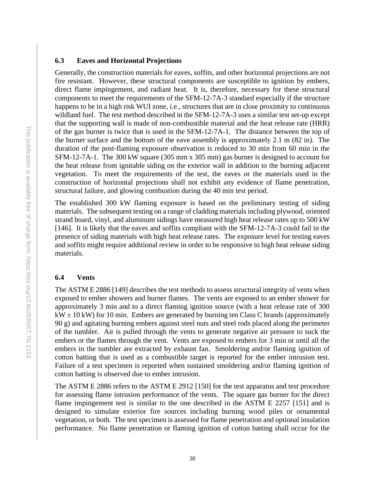## <span id="page-35-0"></span>**6.3 Eaves and Horizontal Projections**

Generally, the construction materials for eaves, soffits, and other horizontal projections are not fire resistant. However, these structural components are susceptible to ignition by embers, direct flame impingement, and radiant heat. It is, therefore, necessary for these structural components to meet the requirements of the SFM-12-7A-3 standard especially if the structure happens to be in a high risk WUI zone, i.e., structures that are in close proximity to continuous wildland fuel. The test method described in the SFM-12-7A-3 uses a similar test set-up except that the supporting wall is made of non-combustible material and the heat release rate (HRR) of the gas burner is twice that is used in the SFM-12-7A-1. The distance between the top of the burner surface and the bottom of the eave assembly is approximately 2.1 m (82 in). The duration of the post-flaming exposure observation is reduced to 30 min from 60 min in the SFM-12-7A-1. The 300 kW square (305 mm x 305 mm) gas burner is designed to account for the heat release from ignitable siding on the exterior wall in addition to the burning adjacent vegetation. To meet the requirements of the test, the eaves or the materials used in the construction of horizontal projections shall not exhibit any evidence of flame penetration, structural failure, and glowing combustion during the 40 min test period.

The established 300 kW flaming exposure is based on the preliminary testing of siding materials. The subsequent testing on a range of cladding materials including plywood, oriented strand board, vinyl, and aluminum sidings have measured high heat release rates up to 500 kW [146]. It is likely that the eaves and soffits compliant with the SFM-12-7A-3 could fail in the presence of siding materials with high heat release rates. The exposure level for testing eaves and soffits might require additional review in order to be responsive to high heat release siding materials.

#### <span id="page-35-1"></span>**6.4 Vents**

The ASTM E 2886 [149] describes the test methods to assess structural integrity of vents when exposed to ember showers and burner flames. The vents are exposed to an ember shower for approximately 3 min and to a direct flaming ignition source (with a heat release rate of 300  $kW \pm 10$  kW) for 10 min. Embers are generated by burning ten Class C brands (approximately 90 g) and agitating burning embers against steel nuts and steel rods placed along the perimeter of the tumbler. Air is pulled through the vents to generate negative air pressure to suck the embers or the flames through the vent. Vents are exposed to embers for 3 min or until all the embers in the tumbler are extracted by exhaust fan. Smoldering and/or flaming ignition of cotton batting that is used as a combustible target is reported for the ember intrusion test. Failure of a test specimen is reported when sustained smoldering and/or flaming ignition of cotton batting is observed due to ember intrusion.

The ASTM E 2886 refers to the ASTM E 2912 [150] for the test apparatus and test procedure for assessing flame intrusion performance of the vents. The square gas burner for the direct flame impingement test is similar to the one described in the ASTM E 2257 [151] and is designed to simulate exterior fire sources including burning wood piles or ornamental vegetation, or both. The test specimen is assessed for flame penetration and optional insulation performance. No flame penetration or flaming ignition of cotton batting shall occur for the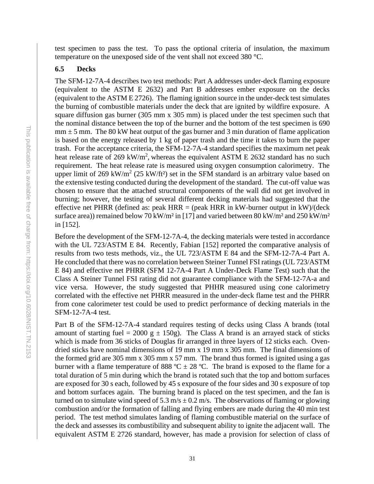test specimen to pass the test. To pass the optional criteria of insulation, the maximum temperature on the unexposed side of the vent shall not exceed 380 °C.

# <span id="page-36-0"></span>**6.5 Decks**

The SFM-12-7A-4 describes two test methods: Part A addresses under-deck flaming exposure (equivalent to the ASTM E 2632) and Part B addresses ember exposure on the decks (equivalent to the ASTM E 2726). The flaming ignition source in the under-deck test simulates the burning of combustible materials under the deck that are ignited by wildfire exposure. A square diffusion gas burner (305 mm x 305 mm) is placed under the test specimen such that the nominal distance between the top of the burner and the bottom of the test specimen is 690  $mm \pm 5$  mm. The 80 kW heat output of the gas burner and 3 min duration of flame application is based on the energy released by 1 kg of paper trash and the time it takes to burn the paper trash. For the acceptance criteria, the SFM-12-7A-4 standard specifies the maximum net peak heat release rate of 269 kW/m<sup>2</sup>, whereas the equivalent ASTM E 2632 standard has no such requirement. The heat release rate is measured using oxygen consumption calorimetry. The upper limit of 269 kW/m<sup>2</sup> (25 kW/ft<sup>2</sup>) set in the SFM standard is an arbitrary value based on the extensive testing conducted during the development of the standard. The cut-off value was chosen to ensure that the attached structural components of the wall did not get involved in burning; however, the testing of several different decking materials had suggested that the effective net PHRR (defined as: peak  $HRR =$  (peak HRR in kW-burner output in kW)/(deck surface area)) remained below 70 kW/m<sup>2</sup> in [17] and varied between 80 kW/m<sup>2</sup> and 250 kW/m<sup>2</sup> in [152].

Before the development of the SFM-12-7A-4, the decking materials were tested in accordance with the UL 723/ASTM E 84. Recently, Fabian [152] reported the comparative analysis of results from two tests methods, viz., the UL 723/ASTM E 84 and the SFM-12-7A-4 Part A. He concluded that there was no correlation between Steiner Tunnel FSI ratings (UL 723/ASTM E 84) and effective net PHRR (SFM 12-7A-4 Part A Under-Deck Flame Test) such that the Class A Steiner Tunnel FSI rating did not guarantee compliance with the SFM-12-7A-a and vice versa. However, the study suggested that PHHR measured using cone calorimetry correlated with the effective net PHRR measured in the under-deck flame test and the PHRR from cone calorimeter test could be used to predict performance of decking materials in the SFM-12-7A-4 test.

Part B of the SFM-12-7A-4 standard requires testing of decks using Class A brands (total amount of starting fuel = 2000 g  $\pm$  150g). The Class A brand is an arrayed stack of sticks which is made from 36 sticks of Douglas fir arranged in three layers of 12 sticks each. Ovendried sticks have nominal dimensions of 19 mm x 19 mm x 305 mm. The final dimensions of the formed grid are 305 mm x 305 mm x 57 mm. The brand thus formed is ignited using a gas burner with a flame temperature of 888 °C  $\pm$  28 °C. The brand is exposed to the flame for a total duration of 5 min during which the brand is rotated such that the top and bottom surfaces are exposed for 30 s each, followed by 45 s exposure of the four sides and 30 s exposure of top and bottom surfaces again. The burning brand is placed on the test specimen, and the fan is turned on to simulate wind speed of 5.3 m/s  $\pm$  0.2 m/s. The observations of flaming or glowing combustion and/or the formation of falling and flying embers are made during the 40 min test period. The test method simulates landing of flaming combustible material on the surface of the deck and assesses its combustibility and subsequent ability to ignite the adjacent wall. The equivalent ASTM E 2726 standard, however, has made a provision for selection of class of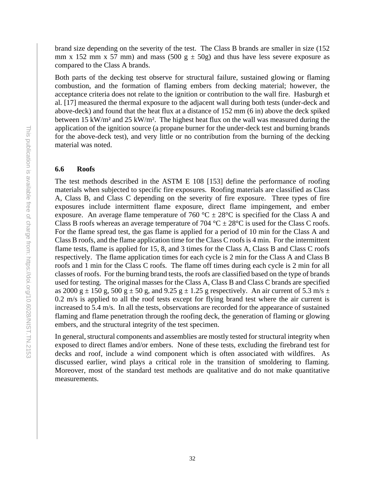brand size depending on the severity of the test. The Class B brands are smaller in size (152 mm x 152 mm x 57 mm) and mass (500 g  $\pm$  50g) and thus have less severe exposure as compared to the Class A brands.

Both parts of the decking test observe for structural failure, sustained glowing or flaming combustion, and the formation of flaming embers from decking material; however, the acceptance criteria does not relate to the ignition or contribution to the wall fire. Hasburgh et al. [17] measured the thermal exposure to the adjacent wall during both tests (under-deck and above-deck) and found that the heat flux at a distance of 152 mm (6 in) above the deck spiked between 15 kW/m² and 25 kW/m². The highest heat flux on the wall was measured during the application of the ignition source (a propane burner for the under-deck test and burning brands for the above-deck test), and very little or no contribution from the burning of the decking material was noted.

# <span id="page-37-0"></span>**6.6 Roofs**

The test methods described in the ASTM E 108 [153] define the performance of roofing materials when subjected to specific fire exposures. Roofing materials are classified as Class A, Class B, and Class C depending on the severity of fire exposure. Three types of fire exposures include intermittent flame exposure, direct flame impingement, and ember exposure. An average flame temperature of 760 °C  $\pm$  28°C is specified for the Class A and Class B roofs whereas an average temperature of 704 °C  $\pm$  28°C is used for the Class C roofs. For the flame spread test, the gas flame is applied for a period of 10 min for the Class A and Class B roofs, and the flame application time for the Class C roofs is 4 min. For the intermittent flame tests, flame is applied for 15, 8, and 3 times for the Class A, Class B and Class C roofs respectively. The flame application times for each cycle is 2 min for the Class A and Class B roofs and 1 min for the Class C roofs. The flame off times during each cycle is 2 min for all classes of roofs. For the burning brand tests, the roofs are classified based on the type of brands used for testing. The original masses for the Class A, Class B and Class C brands are specified as 2000 g  $\pm$  150 g, 500 g  $\pm$  50 g, and 9.25 g  $\pm$  1.25 g respectively. An air current of 5.3 m/s  $\pm$ 0.2 m/s is applied to all the roof tests except for flying brand test where the air current is increased to 5.4 m/s. In all the tests, observations are recorded for the appearance of sustained flaming and flame penetration through the roofing deck, the generation of flaming or glowing embers, and the structural integrity of the test specimen.

In general, structural components and assemblies are mostly tested for structural integrity when exposed to direct flames and/or embers. None of these tests, excluding the firebrand test for decks and roof, include a wind component which is often associated with wildfires. As discussed earlier, wind plays a critical role in the transition of smoldering to flaming. Moreover, most of the standard test methods are qualitative and do not make quantitative measurements.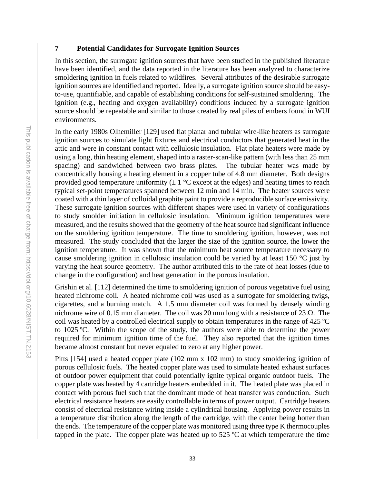# <span id="page-38-0"></span>**7 Potential Candidates for Surrogate Ignition Sources**

In this section, the surrogate ignition sources that have been studied in the published literature have been identified, and the data reported in the literature has been analyzed to characterize smoldering ignition in fuels related to wildfires. Several attributes of the desirable surrogate ignition sources are identified and reported. Ideally, a surrogate ignition source should be easyto-use, quantifiable, and capable of establishing conditions for self-sustained smoldering. The ignition (e.g., heating and oxygen availability) conditions induced by a surrogate ignition source should be repeatable and similar to those created by real piles of embers found in WUI environments.

In the early 1980s Olhemiller [129] used flat planar and tubular wire-like heaters as surrogate ignition sources to simulate light fixtures and electrical conductors that generated heat in the attic and were in constant contact with cellulosic insulation. Flat plate heaters were made by using a long, thin heating element, shaped into a raster-scan-like pattern (with less than 25 mm spacing) and sandwiched between two brass plates. The tubular heater was made by concentrically housing a heating element in a copper tube of 4.8 mm diameter. Both designs provided good temperature uniformity  $(\pm 1 \degree C$  except at the edges) and heating times to reach typical set-point temperatures spanned between 12 min and 14 min. The heater sources were coated with a thin layer of colloidal graphite paint to provide a reproducible surface emissivity. These surrogate ignition sources with different shapes were used in variety of configurations to study smolder initiation in cellulosic insulation. Minimum ignition temperatures were measured, and the results showed that the geometry of the heat source had significant influence on the smoldering ignition temperature. The time to smoldering ignition, however, was not measured. The study concluded that the larger the size of the ignition source, the lower the ignition temperature. It was shown that the minimum heat source temperature necessary to cause smoldering ignition in cellulosic insulation could be varied by at least 150 °C just by varying the heat source geometry. The author attributed this to the rate of heat losses (due to change in the configuration) and heat generation in the porous insulation.

Grishin et al. [112] determined the time to smoldering ignition of porous vegetative fuel using heated nichrome coil. A heated nichrome coil was used as a surrogate for smoldering twigs, cigarettes, and a burning match. A 1.5 mm diameter coil was formed by densely winding nichrome wire of 0.15 mm diameter. The coil was 20 mm long with a resistance of 23  $\Omega$ . The coil was heated by a controlled electrical supply to obtain temperatures in the range of 425 ºC to 1025 ºC. Within the scope of the study, the authors were able to determine the power required for minimum ignition time of the fuel. They also reported that the ignition times became almost constant but never equaled to zero at any higher power.

Pitts [154] used a heated copper plate (102 mm x 102 mm) to study smoldering ignition of porous cellulosic fuels. The heated copper plate was used to simulate heated exhaust surfaces of outdoor power equipment that could potentially ignite typical organic outdoor fuels. The copper plate was heated by 4 cartridge heaters embedded in it. The heated plate was placed in contact with porous fuel such that the dominant mode of heat transfer was conduction. Such electrical resistance heaters are easily controllable in terms of power output. Cartridge heaters consist of electrical resistance wiring inside a cylindrical housing. Applying power results in a temperature distribution along the length of the cartridge, with the center being hotter than the ends. The temperature of the copper plate was monitored using three type K thermocouples tapped in the plate. The copper plate was heated up to  $525 \degree C$  at which temperature the time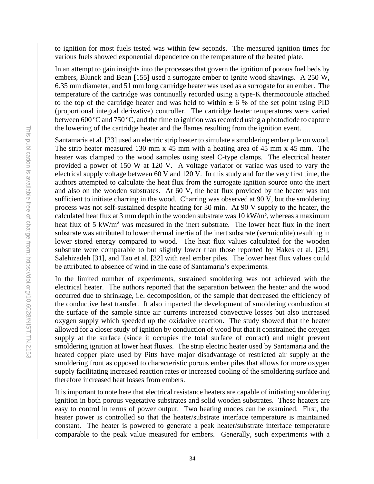to ignition for most fuels tested was within few seconds. The measured ignition times for various fuels showed exponential dependence on the temperature of the heated plate.

In an attempt to gain insights into the processes that govern the ignition of porous fuel beds by embers, Blunck and Bean [155] used a surrogate ember to ignite wood shavings. A 250 W, 6.35 mm diameter, and 51 mm long cartridge heater was used as a surrogate for an ember. The temperature of the cartridge was continually recorded using a type-K thermocouple attached to the top of the cartridge heater and was held to within  $\pm 6\%$  of the set point using PID (proportional integral derivative) controller. The cartridge heater temperatures were varied between 600 ºC and 750 ºC, and the time to ignition was recorded using a photodiode to capture the lowering of the cartridge heater and the flames resulting from the ignition event.

Santamaria et al. [23] used an electric strip heater to simulate a smoldering ember pile on wood. The strip heater measured 130 mm x  $45$  mm with a heating area of  $45$  mm x  $45$  mm. The heater was clamped to the wood samples using steel C-type clamps. The electrical heater provided a power of 150 W at 120 V. A voltage variator or variac was used to vary the electrical supply voltage between 60 V and 120 V. In this study and for the very first time, the authors attempted to calculate the heat flux from the surrogate ignition source onto the inert and also on the wooden substrates. At 60 V, the heat flux provided by the heater was not sufficient to initiate charring in the wood. Charring was observed at 90 V, but the smoldering process was not self-sustained despite heating for 30 min. At 90 V supply to the heater, the calculated heat flux at 3 mm depth in the wooden substrate was  $10 \, \text{kW/m}^2$ , whereas a maximum heat flux of 5 kW/m<sup>2</sup> was measured in the inert substrate. The lower heat flux in the inert substrate was attributed to lower thermal inertia of the inert substrate (vermiculite) resulting in lower stored energy compared to wood. The heat flux values calculated for the wooden substrate were comparable to but slightly lower than those reported by Hakes et al. [29], Salehizadeh [31], and Tao et al. [32] with real ember piles. The lower heat flux values could be attributed to absence of wind in the case of Santamaria's experiments.

In the limited number of experiments, sustained smoldering was not achieved with the electrical heater. The authors reported that the separation between the heater and the wood occurred due to shrinkage, i.e. decomposition, of the sample that decreased the efficiency of the conductive heat transfer. It also impacted the development of smoldering combustion at the surface of the sample since air currents increased convective losses but also increased oxygen supply which speeded up the oxidative reaction. The study showed that the heater allowed for a closer study of ignition by conduction of wood but that it constrained the oxygen supply at the surface (since it occupies the total surface of contact) and might prevent smoldering ignition at lower heat fluxes. The strip electric heater used by Santamaria and the heated copper plate used by Pitts have major disadvantage of restricted air supply at the smoldering front as opposed to characteristic porous ember piles that allows for more oxygen supply facilitating increased reaction rates or increased cooling of the smoldering surface and therefore increased heat losses from embers.

It is important to note here that electrical resistance heaters are capable of initiating smoldering ignition in both porous vegetative substrates and solid wooden substrates. These heaters are easy to control in terms of power output. Two heating modes can be examined. First, the heater power is controlled so that the heater/substrate interface temperature is maintained constant. The heater is powered to generate a peak heater/substrate interface temperature comparable to the peak value measured for embers. Generally, such experiments with a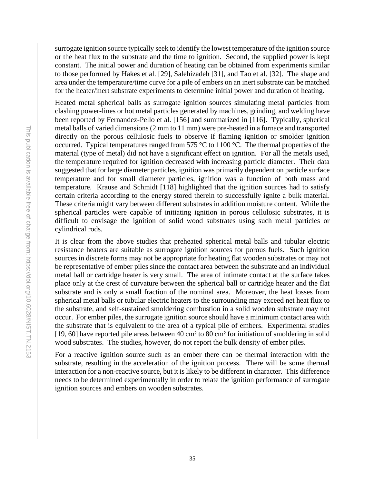surrogate ignition source typically seek to identify the lowest temperature of the ignition source or the heat flux to the substrate and the time to ignition. Second, the supplied power is kept constant. The initial power and duration of heating can be obtained from experiments similar to those performed by Hakes et al. [29], Salehizadeh [31], and Tao et al. [32]. The shape and area under the temperature/time curve for a pile of embers on an inert substrate can be matched for the heater/inert substrate experiments to determine initial power and duration of heating.

Heated metal spherical balls as surrogate ignition sources simulating metal particles from clashing power-lines or hot metal particles generated by machines, grinding, and welding have been reported by Fernandez-Pello et al. [156] and summarized in [116]. Typically, spherical metal balls of varied dimensions (2 mm to 11 mm) were pre-heated in a furnace and transported directly on the porous cellulosic fuels to observe if flaming ignition or smolder ignition occurred. Typical temperatures ranged from 575 °C to 1100 °C. The thermal properties of the material (type of metal) did not have a significant effect on ignition. For all the metals used, the temperature required for ignition decreased with increasing particle diameter. Their data suggested that for large diameter particles, ignition was primarily dependent on particle surface temperature and for small diameter particles, ignition was a function of both mass and temperature. Krause and Schmidt [118] highlighted that the ignition sources had to satisfy certain criteria according to the energy stored therein to successfully ignite a bulk material. These criteria might vary between different substrates in addition moisture content. While the spherical particles were capable of initiating ignition in porous cellulosic substrates, it is difficult to envisage the ignition of solid wood substrates using such metal particles or cylindrical rods.

It is clear from the above studies that preheated spherical metal balls and tubular electric resistance heaters are suitable as surrogate ignition sources for porous fuels. Such ignition sources in discrete forms may not be appropriate for heating flat wooden substrates or may not be representative of ember piles since the contact area between the substrate and an individual metal ball or cartridge heater is very small. The area of intimate contact at the surface takes place only at the crest of curvature between the spherical ball or cartridge heater and the flat substrate and is only a small fraction of the nominal area. Moreover, the heat losses from spherical metal balls or tubular electric heaters to the surrounding may exceed net heat flux to the substrate, and self-sustained smoldering combustion in a solid wooden substrate may not occur. For ember piles, the surrogate ignition source should have a minimum contact area with the substrate that is equivalent to the area of a typical pile of embers. Experimental studies [19, 60] have reported pile areas between 40 cm² to 80 cm² for initiation of smoldering in solid wood substrates. The studies, however, do not report the bulk density of ember piles.

For a reactive ignition source such as an ember there can be thermal interaction with the substrate, resulting in the acceleration of the ignition process. There will be some thermal interaction for a non-reactive source, but it is likely to be different in character. This difference needs to be determined experimentally in order to relate the ignition performance of surrogate ignition sources and embers on wooden substrates.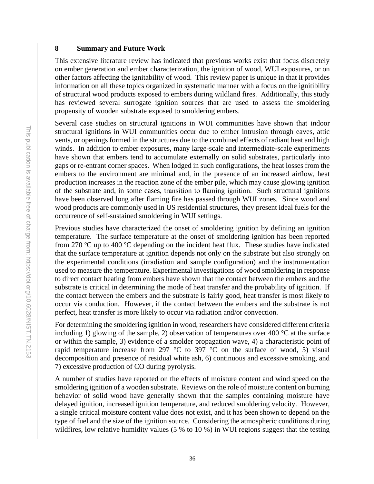#### <span id="page-41-0"></span>**8 Summary and Future Work**

This extensive literature review has indicated that previous works exist that focus discretely on ember generation and ember characterization, the ignition of wood, WUI exposures, or on other factors affecting the ignitability of wood. This review paper is unique in that it provides information on all these topics organized in systematic manner with a focus on the ignitibility of structural wood products exposed to embers during wildland fires. Additionally, this study has reviewed several surrogate ignition sources that are used to assess the smoldering propensity of wooden substrate exposed to smoldering embers.

Several case studies on structural ignitions in WUI communities have shown that indoor structural ignitions in WUI communities occur due to ember intrusion through eaves, attic vents, or openings formed in the structures due to the combined effects of radiant heat and high winds. In addition to ember exposures, many large-scale and intermediate-scale experiments have shown that embers tend to accumulate externally on solid substrates, particularly into gaps or re-entrant corner spaces. When lodged in such configurations, the heat losses from the embers to the environment are minimal and, in the presence of an increased airflow, heat production increases in the reaction zone of the ember pile, which may cause glowing ignition of the substrate and, in some cases, transition to flaming ignition. Such structural ignitions have been observed long after flaming fire has passed through WUI zones. Since wood and wood products are commonly used in US residential structures, they present ideal fuels for the occurrence of self-sustained smoldering in WUI settings.

Previous studies have characterized the onset of smoldering ignition by defining an ignition temperature. The surface temperature at the onset of smoldering ignition has been reported from 270 ºC up to 400 ºC depending on the incident heat flux. These studies have indicated that the surface temperature at ignition depends not only on the substrate but also strongly on the experimental conditions (irradiation and sample configuration) and the instrumentation used to measure the temperature. Experimental investigations of wood smoldering in response to direct contact heating from embers have shown that the contact between the embers and the substrate is critical in determining the mode of heat transfer and the probability of ignition. If the contact between the embers and the substrate is fairly good, heat transfer is most likely to occur via conduction. However, if the contact between the embers and the substrate is not perfect, heat transfer is more likely to occur via radiation and/or convection.

For determining the smoldering ignition in wood, researchers have considered different criteria including 1) glowing of the sample, 2) observation of temperatures over 400  $\degree$ C at the surface or within the sample, 3) evidence of a smolder propagation wave, 4) a characteristic point of rapid temperature increase from 297  $\degree$ C to 397  $\degree$ C on the surface of wood, 5) visual decomposition and presence of residual white ash, 6) continuous and excessive smoking, and 7) excessive production of CO during pyrolysis.

A number of studies have reported on the effects of moisture content and wind speed on the smoldering ignition of a wooden substrate. Reviews on the role of moisture content on burning behavior of solid wood have generally shown that the samples containing moisture have delayed ignition, increased ignition temperature, and reduced smoldering velocity. However, a single critical moisture content value does not exist, and it has been shown to depend on the type of fuel and the size of the ignition source. Considering the atmospheric conditions during wildfires, low relative humidity values (5 % to 10 %) in WUI regions suggest that the testing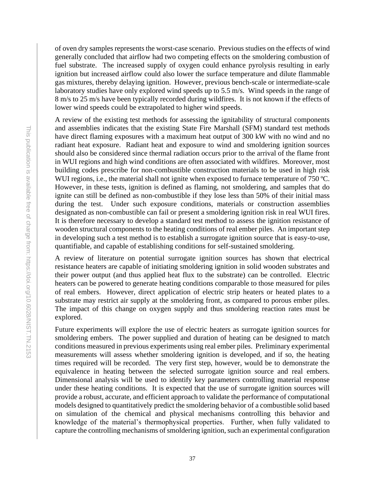of oven dry samples represents the worst-case scenario. Previous studies on the effects of wind generally concluded that airflow had two competing effects on the smoldering combustion of fuel substrate. The increased supply of oxygen could enhance pyrolysis resulting in early ignition but increased airflow could also lower the surface temperature and dilute flammable gas mixtures, thereby delaying ignition. However, previous bench-scale or intermediate-scale laboratory studies have only explored wind speeds up to 5.5 m/s. Wind speeds in the range of 8 m/s to 25 m/s have been typically recorded during wildfires. It is not known if the effects of lower wind speeds could be extrapolated to higher wind speeds.

A review of the existing test methods for assessing the ignitability of structural components and assemblies indicates that the existing State Fire Marshall (SFM) standard test methods have direct flaming exposures with a maximum heat output of 300 kW with no wind and no radiant heat exposure. Radiant heat and exposure to wind and smoldering ignition sources should also be considered since thermal radiation occurs prior to the arrival of the flame front in WUI regions and high wind conditions are often associated with wildfires. Moreover, most building codes prescribe for non-combustible construction materials to be used in high risk WUI regions, i.e., the material shall not ignite when exposed to furnace temperature of 750 °C. However, in these tests, ignition is defined as flaming, not smoldering, and samples that do ignite can still be defined as non-combustible if they lose less than 50% of their initial mass during the test. Under such exposure conditions, materials or construction assemblies designated as non-combustible can fail or present a smoldering ignition risk in real WUI fires. It is therefore necessary to develop a standard test method to assess the ignition resistance of wooden structural components to the heating conditions of real ember piles. An important step in developing such a test method is to establish a surrogate ignition source that is easy-to-use, quantifiable, and capable of establishing conditions for self-sustained smoldering.

A review of literature on potential surrogate ignition sources has shown that electrical resistance heaters are capable of initiating smoldering ignition in solid wooden substrates and their power output (and thus applied heat flux to the substrate) can be controlled. Electric heaters can be powered to generate heating conditions comparable to those measured for piles of real embers. However, direct application of electric strip heaters or heated plates to a substrate may restrict air supply at the smoldering front, as compared to porous ember piles. The impact of this change on oxygen supply and thus smoldering reaction rates must be explored.

Future experiments will explore the use of electric heaters as surrogate ignition sources for smoldering embers. The power supplied and duration of heating can be designed to match conditions measured in previous experiments using real ember piles. Preliminary experimental measurements will assess whether smoldering ignition is developed, and if so, the heating times required will be recorded. The very first step, however, would be to demonstrate the equivalence in heating between the selected surrogate ignition source and real embers. Dimensional analysis will be used to identify key parameters controlling material response under these heating conditions. It is expected that the use of surrogate ignition sources will provide a robust, accurate, and efficient approach to validate the performance of computational models designed to quantitatively predict the smoldering behavior of a combustible solid based on simulation of the chemical and physical mechanisms controlling this behavior and knowledge of the material's thermophysical properties. Further, when fully validated to capture the controlling mechanisms of smoldering ignition, such an experimental configuration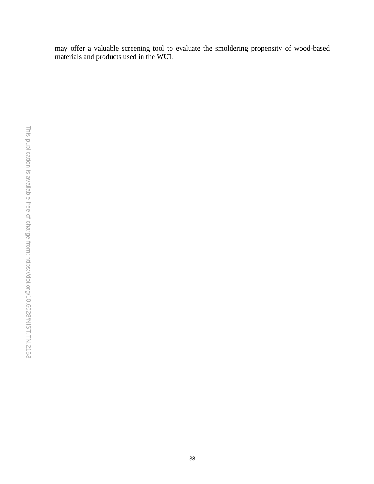may offer a valuable screening tool to evaluate the smoldering propensity of wood-based materials and products used in the WUI.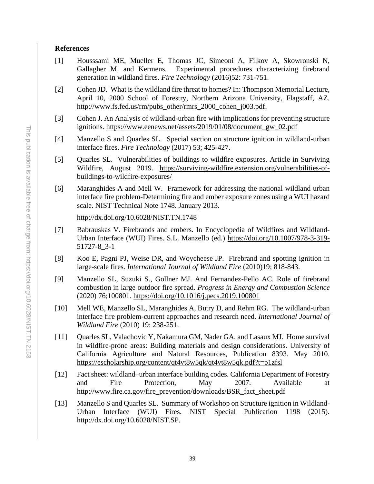## <span id="page-44-0"></span>**References**

- [1] Housssami ME, Mueller E, Thomas JC, Simeoni A, Filkov A, Skowronski N, Gallagher M, and Kermens. Experimental procedures characterizing firebrand generation in wildland fires. *Fire Technology* (2016)52: 731-751.
- [2] Cohen JD. What is the wildland fire threat to homes? In: Thompson Memorial Lecture, April 10, 2000 School of Forestry, Northern Arizona University, Flagstaff, AZ. [http://www.fs.fed.us/rm/pubs\\_other/rmrs\\_2000\\_cohen\\_j003.pdf.](http://www.fs.fed.us/rm/pubs_other/rmrs_2000_cohen_j003.pdf)
- [3] Cohen J. An Analysis of wildland-urban fire with implications for preventing structure ignitions. [https://www.eenews.net/assets/2019/01/08/document\\_gw\\_02.pdf](https://www.eenews.net/assets/2019/01/08/document_gw_02.pdf)
- [4] Manzello S and Quarles SL. Special section on structure ignition in wildland-urban interface fires. *Fire Technology* (2017) 53; 425-427.
- [5] Quarles SL. Vulnerabilities of buildings to wildfire exposures. Article in Surviving Wildfire, August 2019. [https://surviving-wildfire.extension.org/vulnerabilities-of](https://surviving-wildfire.extension.org/vulnerabilities-of-buildings-to-wildfire-exposures/)[buildings-to-wildfire-exposures/](https://surviving-wildfire.extension.org/vulnerabilities-of-buildings-to-wildfire-exposures/)
- [6] Maranghides A and Mell W. Framework for addressing the national wildland urban interface fire problem-Determining fire and ember exposure zones using a WUI hazard scale. NIST Technical Note 1748. January 2013.

http://dx.doi.org/10.6028/NIST.TN.1748

- [7] Babrauskas V. Firebrands and embers. In Encyclopedia of Wildfires and Wildland-Urban Interface (WUI) Fires. S.L. Manzello (ed.) [https://doi.org/10.1007/978-3-319-](https://doi.org/10.1007/978-3-319-51727-8_3-1) [51727-8\\_3-1](https://doi.org/10.1007/978-3-319-51727-8_3-1)
- [8] Koo E, Pagni PJ, Weise DR, and Woycheese JP. Firebrand and spotting ignition in large-scale fires. *International Journal of Wildland Fire* (2010)19; 818-843.
- [9] Manzello SL, Suzuki S., Gollner MJ. And Fernandez-Pello AC. Role of firebrand combustion in large outdoor fire spread. *Progress in Energy and Combustion Science* (2020) 76;100801.<https://doi.org/10.1016/j.pecs.2019.100801>
- [10] Mell WE, Manzello SL, Maranghides A, Butry D, and Rehm RG. The wildland-urban interface fire problem-current approaches and research need. *International Journal of Wildland Fire* (2010) 19: 238-251.
- [11] Quarles SL, Valachovic Y, Nakamura GM, Nader GA, and Lasaux MJ. Home survival in wildfire-prone areas: Building materials and design considerations. University of California Agriculture and Natural Resources, Publication 8393. May 2010. <https://escholarship.org/content/qt4vt8w5qk/qt4vt8w5qk.pdf?t=p1zfsl>
- [12] Fact sheet: wildland–urban interface building codes. California Department of Forestry and Fire Protection, May 2007. Available at http://www.fire.ca.gov/fire\_prevention/downloads/BSR\_fact\_sheet.pdf
- [13] Manzello S and Quarles SL. Summary of Workshop on Structure ignition in Wildland-Urban Interface (WUI) Fires. NIST Special Publication 1198 (2015). http://dx.doi.org/10.6028/NIST.SP.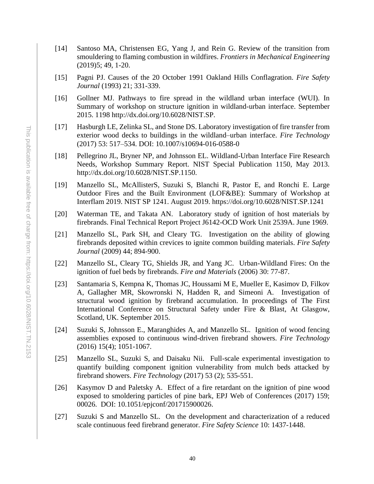- [14] Santoso MA, Christensen EG, Yang J, and Rein G. Review of the transition from smouldering to flaming combustion in wildfires. *Frontiers in Mechanical Engineering* (2019)5; 49, 1-20.
- [15] Pagni PJ. Causes of the 20 October 1991 Oakland Hills Conflagration. *Fire Safety Journal* (1993) 21; 331-339.
- [16] Gollner MJ. Pathways to fire spread in the wildland urban interface (WUI). In Summary of workshop on structure ignition in wildland-urban interface. September 2015. 1198 http://dx.doi.org/10.6028/NIST.SP.
- [17] Hasburgh LE, Zelinka SL, and Stone DS. Laboratory investigation of fire transfer from exterior wood decks to buildings in the wildland–urban interface. *Fire Technology* (2017) 53: 517–534. DOI: 10.1007/s10694-016-0588-0
- [18] Pellegrino JL, Bryner NP, and Johnsson EL. Wildland-Urban Interface Fire Research Needs, Workshop Summary Report. NIST Special Publication 1150, May 2013. http://dx.doi.org/10.6028/NIST.SP.1150.
- [19] Manzello SL, McAllisterS, Suzuki S, Blanchi R, Pastor E, and Ronchi E. Large Outdoor Fires and the Built Environment (LOF&BE): Summary of Workshop at Interflam 2019. NIST SP 1241. August 2019. https://doi.org/10.6028/NIST.SP.1241
- [20] Waterman TE, and Takata AN. Laboratory study of ignition of host materials by firebrands. Final Technical Report Project J6142-OCD Work Unit 2539A. June 1969.
- [21] Manzello SL, Park SH, and Cleary TG. Investigation on the ability of glowing firebrands deposited within crevices to ignite common building materials. *Fire Safety Journal* (2009) 44; 894-900.
- [22] Manzello SL, Cleary TG, Shields JR, and Yang JC. Urban-Wildland Fires: On the ignition of fuel beds by firebrands. *Fire and Materials* (2006) 30: 77-87.
- [23] Santamaria S, Kempna K, Thomas JC, Houssami M E, Mueller E, Kasimov D, Filkov A, Gallagher MR, Skowronski N, Hadden R, and Simeoni A. Investigation of structural wood ignition by firebrand accumulation. In proceedings of The First International Conference on Structural Safety under Fire & Blast, At Glasgow, Scotland, UK. September 2015.
- [24] Suzuki S, Johnsson E., Maranghides A, and Manzello SL. Ignition of wood fencing assemblies exposed to continuous wind-driven firebrand showers. *Fire Technology*  (2016) 15(4); 1051-1067.
- [25] Manzello SL, Suzuki S, and Daisaku Nii. Full-scale experimental investigation to quantify building component ignition vulnerability from mulch beds attacked by firebrand showers. *Fire Technology* (2017) 53 (2); 535-551.
- [26] Kasymov D and Paletsky A. Effect of a fire retardant on the ignition of pine wood exposed to smoldering particles of pine bark, EPJ Web of Conferences (2017) 159; 00026. DOI: 10.1051/epjconf/201715900026.
- [27] Suzuki S and Manzello SL. On the development and characterization of a reduced scale continuous feed firebrand generator. *Fire Safety Science* 10: 1437-1448.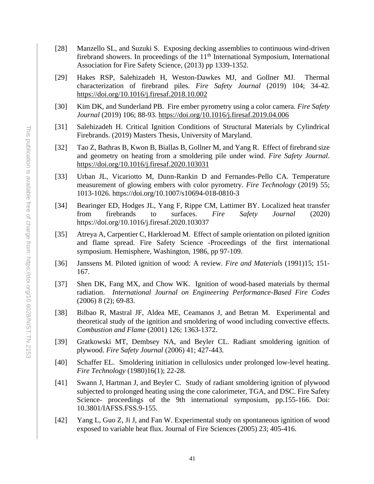- [28] Manzello SL, and Suzuki S. Exposing decking assemblies to continuous wind-driven firebrand showers. In proceedings of the  $11<sup>th</sup>$  International Symposium, International Association for Fire Safety Science, (2013) pp 1339-1352.
- [29] Hakes RSP, Salehizadeh H, Weston-Dawkes MJ, and Gollner MJ. Thermal characterization of firebrand piles. *Fire Safety Journal* (2019) 104; 34-42. <https://doi.org/10.1016/j.firesaf.2018.10.002>
- [30] Kim DK, and Sunderland PB. Fire ember pyrometry using a color camera. *Fire Safety Journal* (2019) 106; 88-93.<https://doi.org/10.1016/j.firesaf.2019.04.006>
- [31] Salehizadeh H. Critical Ignition Conditions of Structural Materials by Cylindrical Firebrands. (2019) Masters Thesis, University of Maryland.
- [32] Tao Z, Bathras B, Kwon B, Biallas B, Gollner M, and Yang R. Effect of firebrand size and geometry on heating from a smoldering pile under wind. *Fire Safety Journal*. <https://doi.org/10.1016/j.firesaf.2020.103031>
- [33] Urban JL, Vicariotto M, Dunn-Rankin D and Fernandes-Pello CA. Temperature measurement of glowing embers with color pyrometry. *Fire Technology* (2019) 55; 1013-1026. https://doi.org/10.1007/s10694-018-0810-3
- [34] Bearinger ED, Hodges JL, Yang F, Rippe CM, Lattimer BY. Localized heat transfer from firebrands to surfaces. *Fire Safety Journal* (2020) https://doi.org/10.1016/j.firesaf.2020.103037
- [35] Atreya A, Carpentier C, Harkleroad M. Effect of sample orientation on piloted ignition and flame spread. Fire Safety Science -Proceedings of the first international symposium. Hemisphere, Washington, 1986, pp 97-109.
- [36] Janssens M. Piloted ignition of wood: A review. *Fire and Materials* (1991)15; 151- 167.
- [37] Shen DK, Fang MX, and Chow WK. Ignition of wood-based materials by thermal radiation. *International Journal on Engineering Performance-Based Fire Codes* (2006) 8 (2); 69-83.
- [38] Bilbao R, Mastral JF, Aldea ME, Ceamanos J, and Betran M. Experimental and theoretical study of the ignition and smoldering of wood including convective effects. *Combustion and Flame* (2001) 126; 1363-1372.
- [39] Gratkowski MT, Dembsey NA, and Beyler CL. Radiant smoldering ignition of plywood. *Fire Safety Journal* (2006) 41; 427-443.
- [40] Schaffer EL. Smoldering initiation in cellulosics under prolonged low-level heating. *Fire Technology* (1980)16(1); 22-28.
- [41] Swann J, Hartman J, and Beyler C. Study of radiant smoldering ignition of plywood subjected to prolonged heating using the cone calorimeter, TGA, and DSC. Fire Safety Science- proceedings of the 9th international symposium, pp.155-166. Doi: 10.3801/IAFSS.FSS.9-155.
- [42] Yang L, Guo Z, Ji J, and Fan W. Experimental study on spontaneous ignition of wood exposed to variable heat flux. Journal of Fire Sciences (2005) 23; 405-416.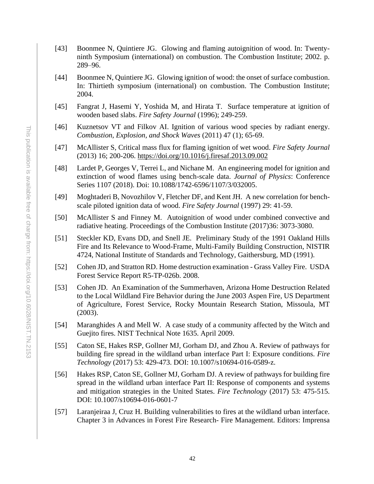- [43] Boonmee N, Quintiere JG. Glowing and flaming autoignition of wood. In: Twentyninth Symposium (international) on combustion. The Combustion Institute; 2002. p. 289–96.
- [44] Boonmee N, Quintiere JG. Glowing ignition of wood: the onset of surface combustion. In: Thirtieth symposium (international) on combustion. The Combustion Institute; 2004.
- [45] Fangrat J, Hasemi Y, Yoshida M, and Hirata T. Surface temperature at ignition of wooden based slabs. *Fire Safety Journal* (1996); 249-259.
- [46] Kuznetsov VT and Filkov AI. Ignition of various wood species by radiant energy. *Combustion, Explosion, and Shock Waves* (2011) 47 (1); 65-69.
- [47] McAllister S, Critical mass flux for flaming ignition of wet wood. *Fire Safety Journal* (2013) 16; 200-206.<https://doi.org/10.1016/j.firesaf.2013.09.002>
- [48] Lardet P, Georges V, Terrei L, and Nichane M. An engineering model for ignition and extinction of wood flames using bench-scale data. *Journal of Physics*: Conference Series 1107 (2018). Doi: 10.1088/1742-6596/1107/3/032005.
- [49] Moghtaderi B, Novozhilov V, Fletcher DF, and Kent JH. A new correlation for benchscale piloted ignition data of wood. *Fire Safety Journal* (1997) 29: 41-59.
- [50] McAllister S and Finney M. Autoignition of wood under combined convective and radiative heating. Proceedings of the Combustion Institute (2017)36: 3073-3080.
- [51] Steckler KD, Evans DD, and Snell JE. Preliminary Study of the 1991 Oakland Hills Fire and Its Relevance to Wood-Frame, Multi-Family Building Construction, NISTIR 4724, National Institute of Standards and Technology, Gaithersburg, MD (1991).
- [52] Cohen JD, and Stratton RD. Home destruction examination Grass Valley Fire. USDA Forest Service Report R5-TP-026b. 2008.
- [53] Cohen JD. An Examination of the Summerhaven, Arizona Home Destruction Related to the Local Wildland Fire Behavior during the June 2003 Aspen Fire, US Department of Agriculture, Forest Service, Rocky Mountain Research Station, Missoula, MT (2003).
- [54] Maranghides A and Mell W. A case study of a community affected by the Witch and Guejito fires. NIST Technical Note 1635. April 2009.
- [55] Caton SE, Hakes RSP, Gollner MJ, Gorham DJ, and Zhou A. Review of pathways for building fire spread in the wildland urban interface Part I: Exposure conditions. *Fire Technology* (2017) 53: 429-473. DOI: 10.1007/s10694-016-0589-z.
- [56] Hakes RSP, Caton SE, Gollner MJ, Gorham DJ. A review of pathways for building fire spread in the wildland urban interface Part II: Response of components and systems and mitigation strategies in the United States. *Fire Technology* (2017) 53: 475-515. DOI: 10.1007/s10694-016-0601-7
- [57] Laranjeiraa J, Cruz H. Building vulnerabilities to fires at the wildland urban interface. Chapter 3 in Advances in Forest Fire Research- Fire Management. Editors: Imprensa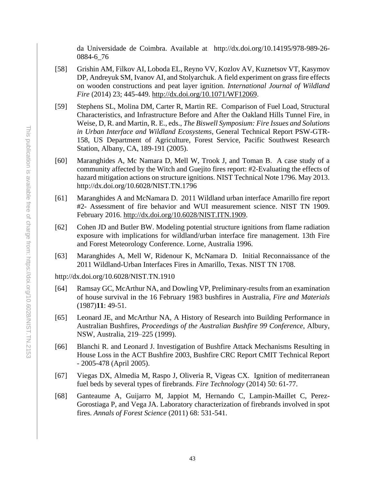da Universidade de Coimbra. Available at http://dx.doi.org/10.14195/978-989-26- 0884-6\_76

- [58] Grishin AM, Filkov AI, Loboda EL, Reyno VV, Kozlov AV, Kuznetsov VT, Kasymov DP, Andreyuk SM, Ivanov AI, and Stolyarchuk. A field experiment on grass fire effects on wooden constructions and peat layer ignition. *International Journal of Wildland Fire* (2014) 23; 445-449. [http://dx.doi.org/10.1071/WF12069.](http://dx.doi.org/10.1071/WF12069)
- [59] Stephens SL, Molina DM, Carter R, Martin RE. Comparison of Fuel Load, Structural Characteristics, and Infrastructure Before and After the Oakland Hills Tunnel Fire, in Weise, D, R. and Martin, R. E., eds., *The Biswell Symposium: Fire Issues and Solutions in Urban Interface and Wildland Ecosystems*, General Technical Report PSW-GTR-158, US Department of Agriculture, Forest Service, Pacific Southwest Research Station, Albany, CA, 189-191 (2005).
- [60] Maranghides A, Mc Namara D, Mell W, Trook J, and Toman B. A case study of a community affected by the Witch and Guejito fires report: #2-Evaluating the effects of hazard mitigation actions on structure ignitions. NIST Technical Note 1796. May 2013. http://dx.doi.org/10.6028/NIST.TN.1796
- [61] Maranghides A and McNamara D. 2011 Wildland urban interface Amarillo fire report #2- Assessment of fire behavior and WUI measurement science. NIST TN 1909. February 2016. [http://dx.doi.org/10.6028/NIST.ITN.1909.](http://dx.doi.org/10.6028/NIST.ITN.1909)
- [62] Cohen JD and Butler BW. Modeling potential structure ignitions from flame radiation exposure with implications for wildland/urban interface fire management. 13th Fire and Forest Meteorology Conference. Lorne, Australia 1996.
- [63] Maranghides A, Mell W, Ridenour K, McNamara D. Initial Reconnaissance of the 2011 Wildland-Urban Interfaces Fires in Amarillo, Texas. NIST TN 1708.

http://dx.doi.org/10.6028/NIST.TN.1910

- [64] Ramsay GC, McArthur NA, and Dowling VP, Preliminary-results from an examination of house survival in the 16 February 1983 bushfires in Australia, *Fire and Materials* (1987)**11**: 49-51.
- [65] Leonard JE, and McArthur NA, [A History of Research into Building Performance in](http://www.cmmt.csiro.au/research/papers/abstract.cfm/30)  [Australian Bushfires,](http://www.cmmt.csiro.au/research/papers/abstract.cfm/30) *Proceedings of the Australian Bushfire 99 Conference*, Albury, NSW, Australia, 219–225 (1999).
- [66] Blanchi R. and Leonard J. Investigation of Bushfire Attack Mechanisms Resulting in House Loss in the ACT Bushfire 2003, Bushfire CRC Report CMIT Technical Report - 2005-478 (April 2005).
- [67] Viegas DX, Almedia M, Raspo J, Oliveria R, Vigeas CX. Ignition of mediterranean fuel beds by several types of firebrands. *Fire Technology* (2014) 50: 61-77.
- [68] Ganteaume A, Guijarro M, Jappiot M, Hernando C, Lampin-Maillet C, Perez-Gorostiaga P, and Vega JA. Laboratory characterization of firebrands involved in spot fires. *Annals of Forest Science* (2011) 68: 531-541.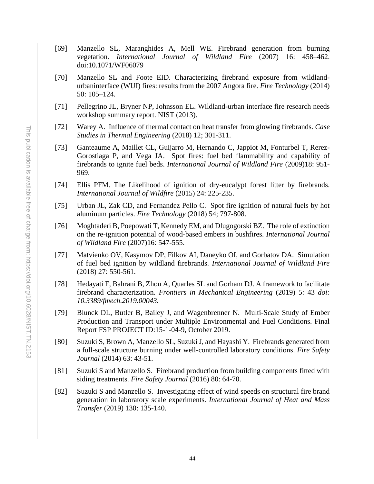- [69] Manzello SL, Maranghides A, Mell WE. Firebrand generation from burning vegetation. *International Journal of Wildland Fire* (2007) 16: 458–462. doi:10.1071/WF06079
- [70] Manzello SL and Foote EID. Characterizing firebrand exposure from wildlandurbaninterface (WUI) fires: results from the 2007 Angora fire. *Fire Technology* (2014) 50: 105–124.
- [71] Pellegrino JL, Bryner NP, Johnsson EL. Wildland-urban interface fire research needs workshop summary report. NIST (2013).
- [72] Warey A. Influence of thermal contact on heat transfer from glowing firebrands. *Case Studies in Thermal Engineering* (2018) 12; 301-311.
- [73] Ganteaume A, Maillet CL, Guijarro M, Hernando C, Jappiot M, Fonturbel T, Rerez-Gorostiaga P, and Vega JA. Spot fires: fuel bed flammability and capability of firebrands to ignite fuel beds. *International Journal of Wildland Fire* (2009)18: 951- 969.
- [74] Ellis PFM. The Likelihood of ignition of dry-eucalypt forest litter by firebrands. *International Journal of Wildfire* (2015) 24: 225-235.
- [75] Urban JL, Zak CD, and Fernandez Pello C. Spot fire ignition of natural fuels by hot aluminum particles. *Fire Technology* (2018) 54; 797-808.
- [76] Moghtaderi B, Poepowati T, Kennedy EM, and Dlugogorski BZ. The role of extinction on the re-ignition potential of wood-based embers in bushfires. *International Journal of Wildland Fire* (2007)16: 547-555.
- [77] Matvienko OV, Kasymov DP, Filkov AI, Daneyko OI, and Gorbatov DA. Simulation of fuel bed ignition by wildland firebrands. *International Journal of Wildland Fire* (2018) 27: 550-561.
- [78] Hedayati F, Bahrani B, Zhou A, Quarles SL and Gorham DJ. A framework to facilitate firebrand characterization. *Frontiers in Mechanical Engineering* (2019) 5: 43 *doi: 10.3389/fmech.2019.00043.*
- [79] Blunck DL, Butler B, Bailey J, and Wagenbrenner N. Multi-Scale Study of Ember Production and Transport under Multiple Environmental and Fuel Conditions. Final Report FSP PROJECT ID:15-1-04-9, October 2019.
- [80] Suzuki S, Brown A, Manzello SL, Suzuki J, and Hayashi Y. Firebrands generated from a full-scale structure burning under well-controlled laboratory conditions. *Fire Safety Journal* (2014) 63: 43-51.
- [81] Suzuki S and Manzello S. Firebrand production from building components fitted with siding treatments. *Fire Safety Journal* (2016) 80: 64-70.
- [82] Suzuki S and Manzello S. Investigating effect of wind speeds on structural fire brand generation in laboratory scale experiments. *International Journal of Heat and Mass Transfer* (2019) 130: 135-140.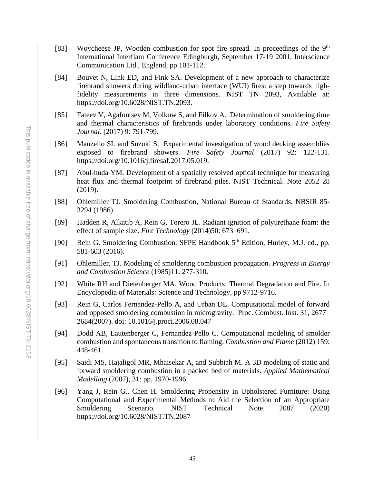- [83] Woycheese JP, Wooden combustion for spot fire spread. In proceedings of the  $9<sup>th</sup>$ International Interflam Conference Edingburgh, September 17-19 2001, Interscience Communication Ltd., England, pp 101-112.
- [84] Bouvet N, Link ED, and Fink SA. Development of a new approach to characterize firebrand showers during wildland-urban interface (WUI) fires: a step towards highfidelity measurements in three dimensions. NIST TN 2093, Available at: https://doi.org/10.6028/NIST.TN.2093.
- [85] Fateev V, Agafontsev M, Volkow S, and Filkov A. Determination of smoldering time and thermal characteristics of firebrands under laboratory conditions. *Fire Safety Journal*. (2017) 9: 791-799.
- [86] Manzello SL and Suzuki S. Experimental investigation of wood decking assemblies exposed to firebrand showers. *Fire Safety Journal* (2017) 92: 122-131. [https://doi.org/10.1016/j.firesaf.2017.05.019.](https://doi.org/10.1016/j.firesaf.2017.05.019)
- [87] Abul-huda YM. Development of a spatially resolved optical technique for measuring heat flux and thermal footprint of firebrand piles. NIST Technical. Note 2052 28 (2019).
- [88] Ohlemiller TJ. Smoldering Combustion, National Bureau of Standards, NBSIR 85- 3294 (1986)
- [89] Hadden R, Alkatib A, Rein G, Torero JL. Radiant ignition of polyurethane foam: the effect of sample size. *Fire Technology* (2014)50: 673–691.
- [90] Rein G. Smoldering Combustion, SFPE Handbook 5<sup>th</sup> Edition, Hurley, M.J. ed., pp. 581-603 (2016).
- [91] Ohlemiller, TJ. Modeling of smoldering combustion propagation. *Progress in Energy and Combustion Science* (1985)11: 277-310.
- [92] White RH and Dietenberger MA. Wood Products: Thermal Degradation and Fire. In Encyclopedia of Materials: Science and Technology, pp 9712-9716.
- [93] Rein G, Carlos Fernandez-Pello A, and Urban DL. Computational model of forward and opposed smoldering combustion in microgravity. Proc. Combust. Inst. 31, 2677– 2684(2007). doi: 10.1016/j.proci.2006.08.047
- [94] Dodd AB, Lautenberger C, Fernandez-Pello C. Computational modeling of smolder combustion and spontaneous transition to flaming. *Combustion and Flame* (2012) 159: 448-461.
- [95] Saidi MS, Hajaligol MR, Mhaisekar A, and Subbiah M. A 3D modeling of static and forward smoldering combustion in a packed bed of materials. *Applied Mathematical Modelling* (2007), 31: pp. 1970-1996
- [96] Yang J, Rein G., Chen H. Smoldering Propensity in Upholstered Furniture: Using Computational and Experimental Methods to Aid the Selection of an Appropriate Smoldering Scenario. NIST Technical Note 2087 (2020) https://doi.org/10.6028/NIST.TN.2087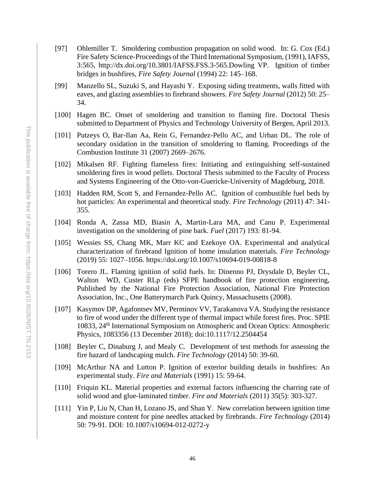- [97] Ohlemiller T. Smoldering combustion propagation on solid wood. In: G. Cox (Ed.) Fire Safety Science*-*Proceedings of the Third International Symposium, (1991), IAFSS, 3:565, http://dx.doi.org/10.3801/IAFSS.FSS.3-565.Dowling VP. Ignition of timber bridges in bushfires, *Fire Safety Journal* (1994) 22: 145–168.
- [99] Manzello SL, Suzuki S, and Hayashi Y. Exposing siding treatments, walls fitted with eaves, and glazing assemblies to firebrand showers. *Fire Safety Journal* (2012) 50: 25– 34.
- [100] Hagen BC. Onset of smoldering and transition to flaming fire. Doctoral Thesis submitted to Department of Physics and Technology University of Bergen, April 2013.
- [101] Putzeys O, Bar-Ilan Aa, Rein G, Fernandez-Pello AC, and Urban DL. The role of secondary oxidation in the transition of smoldering to flaming. Proceedings of the Combustion Institute 31 (2007) 2669–2676.
- [102] Mikalsen RF. Fighting flameless fires: Initiating and extinguishing self-sustained smoldering fires in wood pellets. Doctoral Thesis submitted to the Faculty of Process and Systems Engineering of the Otto-von-Guericke-University of Magdeburg, 2018.
- [103] Hadden RM, Scott S, and Fernandez-Pello AC. Ignition of combustible fuel beds by hot particles: An experimental and theoretical study. *Fire Technology* (2011) 47: 341- 355.
- [104] Ronda A, Zassa MD, Biasin A, Martin-Lara MA, and Canu P. Experimental investigation on the smoldering of pine bark. *Fuel* (2017) 193: 81-94.
- [105] Wessies SS, Chang MK, Marr KC and Ezekoye OA. Experimental and analytical characterization of firebrand Ignition of home insulation materials. *Fire Technology* (2019) 55: 1027–1056. https://doi.org/10.1007/s10694-019-00818-8
- [106] Torero JL. Flaming ignition of solid fuels. In: Dinenno PJ, Drysdale D, Beyler CL, Walton WD, Custer RLp (eds) SFPE handbook of fire protection engineering, Published by the National Fire Protection Association, National Fire Protection Association, Inc., One Batterymarch Park Quincy, Massachusetts (2008).
- [107] Kasymov DP, Agafontsev MV, Perminov VV, Tarakanova VA. Studying the resistance to fire of wood under the different type of thermal impact while forest fires. Proc. SPIE 10833, 24th International Symposium on Atmospheric and Ocean Optics: Atmospheric Physics, 1083356 (13 December 2018); doi:10.1117/12.2504454
- [108] Beyler C, Dinaburg J, and Mealy C. Development of test methods for assessing the fire hazard of landscaping mulch. *Fire Technology* (2014) 50: 39-60.
- [109] McArthur NA and Lutton P. Ignition of exterior building details in bushfires: An experimental study. *Fire and Materials* (1991) 15: 59-64.
- [110] Friquin KL. Material properties and external factors influencing the charring rate of solid wood and glue-laminated timber. *Fire and Materials* (2011) 35(5): 303-327.
- [111] Yin P, Liu N, Chan H, Lozano JS, and Shan Y. New correlation between ignition time and moisture content for pine needles attacked by firebrands. *Fire Technology* (2014) 50: 79-91. DOI: 10.1007/s10694-012-0272-y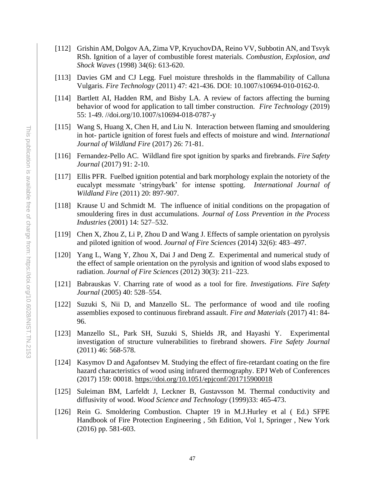- [112] Grishin AM, Dolgov AA, Zima VP, KryuchovDA, Reino VV, Subbotin AN, and Tsvyk RSh. Ignition of a layer of combustible forest materials. *Combustion, Explosion, and Shock Waves* (1998) 34(6): 613-620.
- [113] Davies GM and CJ Legg. Fuel moisture thresholds in the flammability of Calluna Vulgaris. *Fire Technology* (2011) 47: 421-436. DOI: 10.1007/s10694-010-0162-0.
- [114] Bartlett AI, Hadden RM, and Bisby LA. A review of factors affecting the burning behavior of wood for application to tall timber construction. *Fire Technology* (2019) 55: 1-49. //doi.org/10.1007/s10694-018-0787-y
- [115] Wang S, Huang X, Chen H, and Liu N. Interaction between flaming and smouldering in hot- particle ignition of forest fuels and effects of moisture and wind. *International Journal of Wildland Fire* (2017) 26: 71-81.
- [116] Fernandez-Pello AC. Wildland fire spot ignition by sparks and firebrands. *Fire Safety Journal* (2017) 91: 2-10.
- [117] Ellis PFR. Fuelbed ignition potential and bark morphology explain the notoriety of the eucalypt messmate 'stringybark' for intense spotting. *International Journal of Wildland Fire* (2011) 20: 897-907.
- [118] Krause U and Schmidt M. The influence of initial conditions on the propagation of smouldering fires in dust accumulations. *Journal of Loss Prevention in the Process Industries* (2001) 14: 527–532.
- [119] Chen X, Zhou Z, Li P, Zhou D and Wang J. Effects of sample orientation on pyrolysis and piloted ignition of wood. *Journal of Fire Sciences* (2014) 32(6): 483–497.
- [120] Yang L, Wang Y, Zhou X, Dai J and Deng Z. Experimental and numerical study of the effect of sample orientation on the pyrolysis and ignition of wood slabs exposed to radiation. *Journal of Fire Sciences* (2012) 30(3): 211–223.
- [121] Babrauskas V. Charring rate of wood as a tool for fire. *Investigations. Fire Safety Journal* (2005) 40: 528–554.
- [122] Suzuki S, Nii D, and Manzello SL. The performance of wood and tile roofing assemblies exposed to continuous firebrand assault. *Fire and Materials* (2017) 41: 84- 96.
- [123] Manzello SL, Park SH, Suzuki S, Shields JR, and Hayashi Y. Experimental investigation of structure vulnerabilities to firebrand showers. *Fire Safety Journal* (2011) 46: 568-578.
- [124] Kasymov D and Agafontsev M. Studying the effect of fire-retardant coating on the fire hazard characteristics of wood using infrared thermography. EPJ Web of Conferences (2017) 159: 00018.<https://doi.org/10.1051/epjconf/201715900018>
- [125] Suleiman BM, Larfeldt J, Leckner B, Gustavsson M. Thermal conductivity and diffusivity of wood. *Wood Science and Technology* (1999)33: 465-473.
- [126] Rein G. Smoldering Combustion. Chapter 19 in M.J.Hurley et al ( Ed.) SFPE Handbook of Fire Protection Engineering , 5th Edition, Vol 1, Springer , New York (2016) pp. 581-603.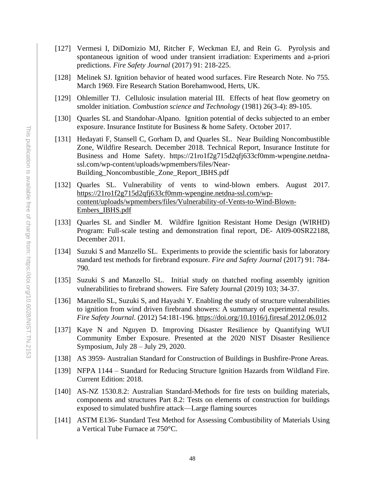- [127] Vermesi I, DiDomizio MJ, Ritcher F, Weckman EJ, and Rein G. Pyrolysis and spontaneous ignition of wood under transient irradiation: Experiments and a-priori predictions. *Fire Safety Journal* (2017) 91: 218-225.
- [128] Melinek SJ. Ignition behavior of heated wood surfaces. Fire Research Note. No 755. March 1969. Fire Research Station Borehamwood, Herts, UK.
- [129] Ohlemiller TJ. Cellulosic insulation material III. Effects of heat flow geometry on smolder initiation. *Combustion science and Technology* (1981) 26(3-4): 89-105.
- [130] Quarles SL and Standohar-Alpano. Ignition potential of decks subjected to an ember exposure. Insurance Institute for Business & home Safety. October 2017.
- [131] Hedayati F, Stansell C, Gorham D, and Quarles SL. Near Building Noncombustible Zone, Wildfire Research. December 2018. Technical Report, Insurance Institute for Business and Home Safety. https://21ro1f2g715d2qfj633cf0mm-wpengine.netdnassl.com/wp-content/uploads/wpmembers/files/Near-Building\_Noncombustible\_Zone\_Report\_IBHS.pdf
- [132] Quarles SL. Vulnerability of vents to wind-blown embers. August 2017. [https://21ro1f2g715d2qfj633cf0mm-wpengine.netdna-ssl.com/wp](https://21ro1f2g715d2qfj633cf0mm-wpengine.netdna-ssl.com/wp-content/uploads/wpmembers/files/Vulnerability-of-Vents-to-Wind-Blown-Embers_IBHS.pdf)[content/uploads/wpmembers/files/Vulnerability-of-Vents-to-Wind-Blown-](https://21ro1f2g715d2qfj633cf0mm-wpengine.netdna-ssl.com/wp-content/uploads/wpmembers/files/Vulnerability-of-Vents-to-Wind-Blown-Embers_IBHS.pdf)[Embers\\_IBHS.pdf](https://21ro1f2g715d2qfj633cf0mm-wpengine.netdna-ssl.com/wp-content/uploads/wpmembers/files/Vulnerability-of-Vents-to-Wind-Blown-Embers_IBHS.pdf)
- [133] Quarles SL and Sindler M. Wildfire Ignition Resistant Home Design (WIRHD) Program: Full-scale testing and demonstration final report, DE- AI09-00SR22188, December 2011.
- [134] Suzuki S and Manzello SL. Experiments to provide the scientific basis for laboratory standard test methods for firebrand exposure. *Fire and Safety Journal* (2017) 91: 784- 790.
- [135] Suzuki S and Manzello SL. Initial study on thatched roofing assembly ignition vulnerabilities to firebrand showers. Fire Safety Journal (2019) 103; 34-37.
- [136] Manzello SL, Suzuki S, and Hayashi Y. Enabling the study of structure vulnerabilities to ignition from wind driven firebrand showers: A summary of experimental results. *Fire Safety Journal*. (2012) 54:181-196.<https://doi.org/10.1016/j.firesaf.2012.06.012>
- [137] Kaye N and Nguyen D. Improving Disaster Resilience by Quantifying WUI Community Ember Exposure. Presented at the 2020 NIST Disaster Resilience Symposium, July 28 – July 29, 2020.
- [138] AS 3959- Australian Standard for Construction of Buildings in Bushfire-Prone Areas.
- [139] NFPA 1144 Standard for Reducing Structure Ignition Hazards from Wildland Fire. Current Edition: 2018.
- [140] AS-NZ 1530.8.2: Australian Standard-Methods for fire tests on building materials, components and structures Part 8.2: Tests on elements of construction for buildings exposed to simulated bushfire attack—Large flaming sources
- [141] ASTM E136- Standard Test Method for Assessing Combustibility of Materials Using a Vertical Tube Furnace at 750°C.